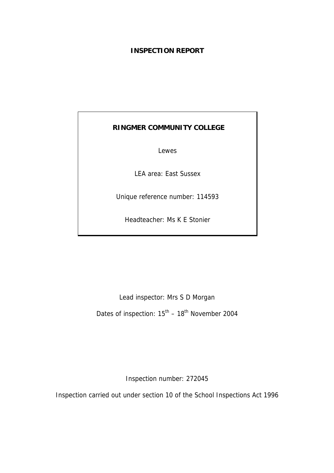# **INSPECTION REPORT**

# **RINGMER COMMUNITY COLLEGE**

Lewes

LEA area: East Sussex

Unique reference number: 114593

Headteacher: Ms K E Stonier

Lead inspector: Mrs S D Morgan Dates of inspection:  $15^{th} - 18^{th}$  November 2004

Inspection number: 272045

Inspection carried out under section 10 of the School Inspections Act 1996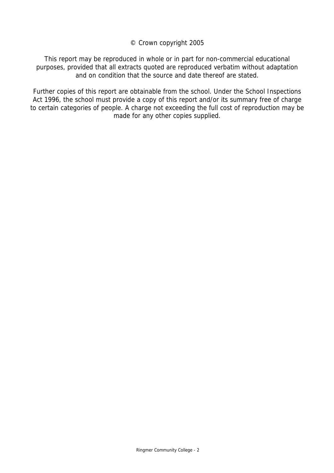© Crown copyright 2005

This report may be reproduced in whole or in part for non-commercial educational purposes, provided that all extracts quoted are reproduced verbatim without adaptation and on condition that the source and date thereof are stated.

Further copies of this report are obtainable from the school. Under the School Inspections Act 1996, the school must provide a copy of this report and/or its summary free of charge to certain categories of people. A charge not exceeding the full cost of reproduction may be made for any other copies supplied.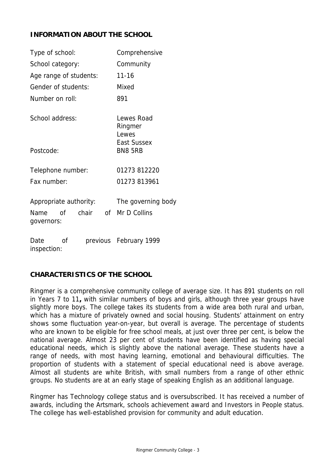# **INFORMATION ABOUT THE SCHOOL**

| Type of school:                                                   | Comprehensive                        |
|-------------------------------------------------------------------|--------------------------------------|
| School category:                                                  | Community                            |
| Age range of students:                                            | $11 - 16$                            |
| Gender of students:                                               | Mixed                                |
| Number on roll:                                                   | 891                                  |
| School address:                                                   | Lewes Road<br>Ringmer<br>Lewes       |
| Postcode:                                                         | <b>East Sussex</b><br><b>BN8 5RB</b> |
| Telephone number:                                                 | 01273 812220                         |
| Fax number:                                                       | 01273 813961                         |
| Appropriate authority:<br>chair<br>of<br>Name<br>of<br>governors: | The governing body<br>Mr D Collins   |
| Date<br>οf<br>inspection:                                         | previous February 1999               |

# **CHARACTERISTICS OF THE SCHOOL**

Ringmer is a comprehensive community college of average size. It has 891 students on roll in Years 7 to 11**,** with similar numbers of boys and girls, although three year groups have slightly more boys. The college takes its students from a wide area both rural and urban, which has a mixture of privately owned and social housing. Students' attainment on entry shows some fluctuation year-on-year, but overall is average. The percentage of students who are known to be eligible for free school meals, at just over three per cent, is below the national average. Almost 23 per cent of students have been identified as having special educational needs, which is slightly above the national average. These students have a range of needs, with most having learning, emotional and behavioural difficulties. The proportion of students with a statement of special educational need is above average. Almost all students are white British, with small numbers from a range of other ethnic groups. No students are at an early stage of speaking English as an additional language.

Ringmer has Technology college status and is oversubscribed. It has received a number of awards, including the Artsmark, schools achievement award and Investors in People status. The college has well-established provision for community and adult education.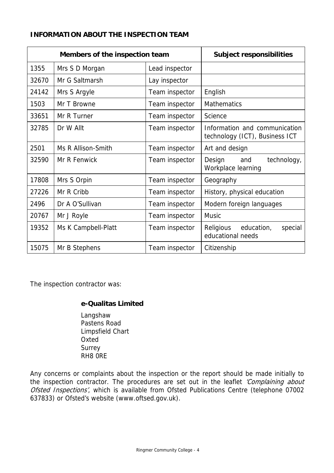# **INFORMATION ABOUT THE INSPECTION TEAM**

| Members of the inspection team |                     | <b>Subject responsibilities</b> |                                                                 |
|--------------------------------|---------------------|---------------------------------|-----------------------------------------------------------------|
| 1355                           | Mrs S D Morgan      | Lead inspector                  |                                                                 |
| 32670                          | Mr G Saltmarsh      | Lay inspector                   |                                                                 |
| 24142                          | Mrs S Argyle        | Team inspector                  | English                                                         |
| 1503                           | Mr T Browne         | Team inspector                  | <b>Mathematics</b>                                              |
| 33651                          | Mr R Turner         | Team inspector                  | Science                                                         |
| 32785                          | Dr W Allt           | Team inspector                  | Information and communication<br>technology (ICT), Business ICT |
| 2501                           | Ms R Allison-Smith  | Team inspector                  | Art and design                                                  |
| 32590                          | Mr R Fenwick        | Team inspector                  | Design<br>technology,<br>and<br>Workplace learning              |
| 17808                          | Mrs S Orpin         | Team inspector                  | Geography                                                       |
| 27226                          | Mr R Cribb          | Team inspector                  | History, physical education                                     |
| 2496                           | Dr A O'Sullivan     | Team inspector                  | Modern foreign languages                                        |
| 20767                          | Mr J Royle          | Team inspector                  | <b>Music</b>                                                    |
| 19352                          | Ms K Campbell-Platt | Team inspector                  | Religious<br>education,<br>special<br>educational needs         |
| 15075                          | Mr B Stephens       | Team inspector                  | Citizenship                                                     |

The inspection contractor was:

# **e-Qualitas Limited**

 Langshaw Pastens Road Limpsfield Chart Oxted Surrey RH8 0RE

Any concerns or complaints about the inspection or the report should be made initially to the inspection contractor. The procedures are set out in the leaflet 'Complaining about Ofsted Inspections', which is available from Ofsted Publications Centre (telephone 07002 637833) or Ofsted's website (www.oftsed.gov.uk).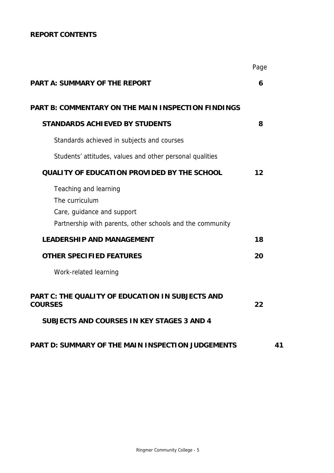# **REPORT CONTENTS**

|                                                                                                                                    | Page |    |
|------------------------------------------------------------------------------------------------------------------------------------|------|----|
| <b>PART A: SUMMARY OF THE REPORT</b>                                                                                               | 6    |    |
| <b>PART B: COMMENTARY ON THE MAIN INSPECTION FINDINGS</b>                                                                          |      |    |
| <b>STANDARDS ACHIEVED BY STUDENTS</b>                                                                                              | 8    |    |
| Standards achieved in subjects and courses                                                                                         |      |    |
| Students' attitudes, values and other personal qualities                                                                           |      |    |
| <b>QUALITY OF EDUCATION PROVIDED BY THE SCHOOL</b>                                                                                 | 12   |    |
| Teaching and learning<br>The curriculum<br>Care, guidance and support<br>Partnership with parents, other schools and the community |      |    |
| <b>LEADERSHIP AND MANAGEMENT</b>                                                                                                   | 18   |    |
| <b>OTHER SPECIFIED FEATURES</b>                                                                                                    | 20   |    |
| Work-related learning                                                                                                              |      |    |
| <b>PART C: THE QUALITY OF EDUCATION IN SUBJECTS AND</b><br><b>COURSES</b><br><b>SUBJECTS AND COURSES IN KEY STAGES 3 AND 4</b>     | 22   |    |
| PART D: SUMMARY OF THE MAIN INSPECTION JUDGEMENTS                                                                                  |      | 41 |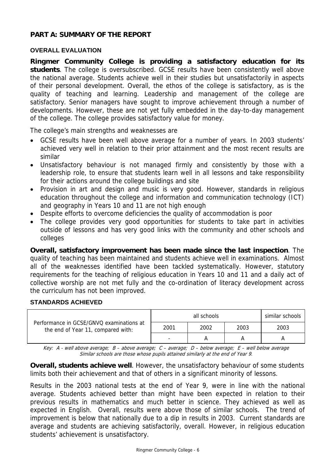# **PART A: SUMMARY OF THE REPORT**

## **OVERALL EVALUATION**

**Ringmer Community College is providing a satisfactory education for its students**. The college is oversubscribed. GCSE results have been consistently well above the national average. Students achieve well in their studies but unsatisfactorily in aspects of their personal development. Overall, the ethos of the college is satisfactory, as is the quality of teaching and learning. Leadership and management of the college are satisfactory. Senior managers have sought to improve achievement through a number of developments. However, these are not yet fully embedded in the day-to-day management of the college. The college provides satisfactory value for money.

The college's main strengths and weaknesses are

- GCSE results have been well above average for a number of years. In 2003 students' achieved very well in relation to their prior attainment and the most recent results are similar
- Unsatisfactory behaviour is not managed firmly and consistently by those with a leadership role, to ensure that students learn well in all lessons and take responsibility for their actions around the college buildings and site
- Provision in art and design and music is very good. However, standards in religious education throughout the college and information and communication technology (ICT) and geography in Years 10 and 11 are not high enough
- Despite efforts to overcome deficiencies the quality of accommodation is poor
- The college provides very good opportunities for students to take part in activities outside of lessons and has very good links with the community and other schools and colleges

**Overall, satisfactory improvement has been made since the last inspection**. The quality of teaching has been maintained and students achieve well in examinations. Almost all of the weaknesses identified have been tackled systematically. However, statutory requirements for the teaching of religious education in Years 10 and 11 and a daily act of collective worship are not met fully and the co-ordination of literacy development across the curriculum has not been improved.

#### **STANDARDS ACHIEVED**

| Performance in GCSE/GNVQ examinations at<br>the end of Year 11, compared with: | similar schools<br>all schools |      |      |      |  |  |
|--------------------------------------------------------------------------------|--------------------------------|------|------|------|--|--|
|                                                                                | 2001                           | 2002 | 2003 | 2003 |  |  |
|                                                                                |                                |      |      |      |  |  |

Key: A - well above average; B – above average; C – average; D – below average; E – well below average Similar schools are those whose pupils attained similarly at the end of Year 9.

**Overall, students achieve well**. However, the unsatisfactory behaviour of some students limits both their achievement and that of others in a significant minority of lessons.

Results in the 2003 national tests at the end of Year 9, were in line with the national average. Students achieved better than might have been expected in relation to their previous results in mathematics and much better in science. They achieved as well as expected in English. Overall, results were above those of similar schools. The trend of improvement is below that nationally due to a dip in results in 2003. Current standards are average and students are achieving satisfactorily, overall. However, in religious education students' achievement is unsatisfactory.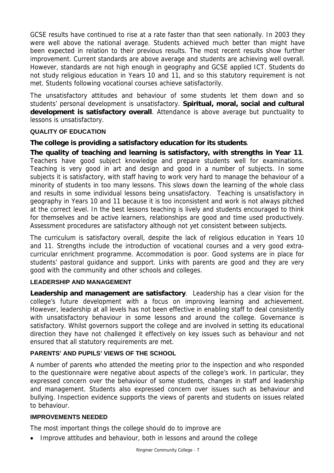GCSE results have continued to rise at a rate faster than that seen nationally. In 2003 they were well above the national average. Students achieved much better than might have been expected in relation to their previous results. The most recent results show further improvement. Current standards are above average and students are achieving well overall. However, standards are not high enough in geography and GCSE applied ICT. Students do not study religious education in Years 10 and 11, and so this statutory requirement is not met. Students following vocational courses achieve satisfactorily.

The unsatisfactory attitudes and behaviour of some students let them down and so students' personal development is unsatisfactory. **Spiritual, moral, social and cultural development is satisfactory overall**. Attendance is above average but punctuality to lessons is unsatisfactory.

# **QUALITY OF EDUCATION**

# **The college is providing a satisfactory education for its students**.

**The quality of teaching and learning is satisfactory, with strengths in Year 11**. Teachers have good subject knowledge and prepare students well for examinations. Teaching is very good in art and design and good in a number of subjects. In some subjects it is satisfactory, with staff having to work very hard to manage the behaviour of a minority of students in too many lessons. This slows down the learning of the whole class and results in some individual lessons being unsatisfactory. Teaching is unsatisfactory in geography in Years 10 and 11 because it is too inconsistent and work is not always pitched at the correct level. In the best lessons teaching is lively and students encouraged to think for themselves and be active learners, relationships are good and time used productively. Assessment procedures are satisfactory although not yet consistent between subjects.

The curriculum is satisfactory overall, despite the lack of religious education in Years 10 and 11. Strengths include the introduction of vocational courses and a very good extracurricular enrichment programme. Accommodation is poor. Good systems are in place for students' pastoral guidance and support. Links with parents are good and they are very good with the community and other schools and colleges.

# **LEADERSHIP AND MANAGEMENT**

**Leadership and management are satisfactory**. Leadership has a clear vision for the college's future development with a focus on improving learning and achievement. However, leadership at all levels has not been effective in enabling staff to deal consistently with unsatisfactory behaviour in some lessons and around the college. Governance is satisfactory. Whilst governors support the college and are involved in setting its educational direction they have not challenged it effectively on key issues such as behaviour and not ensured that all statutory requirements are met.

# **PARENTS' AND PUPILS' VIEWS OF THE SCHOOL**

A number of parents who attended the meeting prior to the inspection and who responded to the questionnaire were negative about aspects of the college's work. In particular, they expressed concern over the behaviour of some students, changes in staff and leadership and management. Students also expressed concern over issues such as behaviour and bullying. Inspection evidence supports the views of parents and students on issues related to behaviour.

#### **IMPROVEMENTS NEEDED**

The most important things the college should do to improve are

• Improve attitudes and behaviour, both in lessons and around the college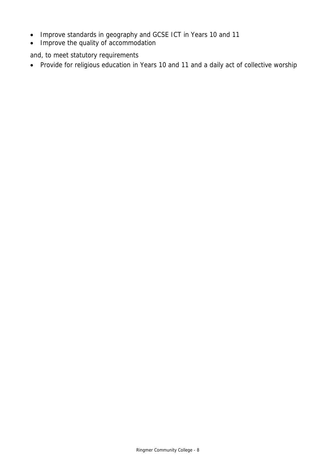- Improve standards in geography and GCSE ICT in Years 10 and 11
- Improve the quality of accommodation

and, to meet statutory requirements

• Provide for religious education in Years 10 and 11 and a daily act of collective worship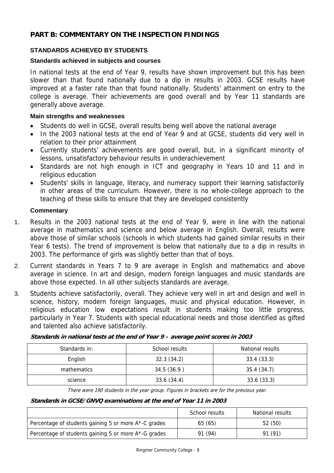# **PART B: COMMENTARY ON THE INSPECTION FINDINGS**

# **STANDARDS ACHIEVED BY STUDENTS**

## **Standards achieved in subjects and courses**

In national tests at the end of Year 9, results have shown improvement but this has been slower than that found nationally due to a dip in results in 2003. GCSE results have improved at a faster rate than that found nationally. Students' attainment on entry to the college is average. Their achievements are good overall and by Year 11 standards are generally above average.

### **Main strengths and weaknesses**

- Students do well in GCSE, overall results being well above the national average
- In the 2003 national tests at the end of Year 9 and at GCSE, students did very well in relation to their prior attainment
- Currently students' achievements are good overall, but, in a significant minority of lessons, unsatisfactory behaviour results in underachievement
- Standards are not high enough in ICT and geography in Years 10 and 11 and in religious education
- Students' skills in language, literacy, and numeracy support their learning satisfactorily in other areas of the curriculum. However, there is no whole-college approach to the teaching of these skills to ensure that they are developed consistently

# **Commentary**

- 1. Results in the 2003 national tests at the end of Year 9, were in line with the national average in mathematics and science and below average in English. Overall, results were above those of similar schools (schools in which students had gained similar results in their Year 6 tests). The trend of improvement is below that nationally due to a dip in results in 2003. The performance of girls was slightly better than that of boys.
- 2. Current standards in Years 7 to 9 are average in English and mathematics and above average in science. In art and design, modern foreign languages and music standards are above those expected. In all other subjects standards are average.
- 3. Students achieve satisfactorily, overall. They achieve very well in art and design and well in science, history, modern foreign languages, music and physical education. However, in religious education low expectations result in students making too little progress, particularly in Year 7. Students with special educational needs and those identified as gifted and talented also achieve satisfactorily.

|  |  | Standards in national tests at the end of Year 9 - average point scores in 2003 |
|--|--|---------------------------------------------------------------------------------|
|  |  |                                                                                 |
|  |  |                                                                                 |

| Standards in: | School results | National results |
|---------------|----------------|------------------|
| English       | 32.3(34.2)     | 33.4(33.3)       |
| mathematics   | 34.5 (36.9)    | 35.4(34.7)       |
| science       | 33.6 (34.4)    | 33.6 (33.3)      |

There were 190 students in the year group. Figures in brackets are for the previous year.

#### **Standards in GCSE/GNVQ examinations at the end of Year 11 in 2003**

|                                                      | School results | National results |
|------------------------------------------------------|----------------|------------------|
| Percentage of students gaining 5 or more A*-C grades | 65 (65)        | 52(50)           |
| Percentage of students gaining 5 or more A*-G grades | 91 (94)        | 91 (91)          |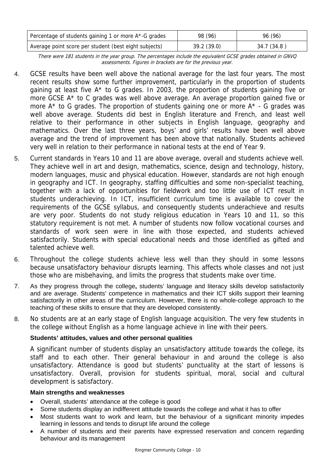| Percentage of students gaining 1 or more A*-G grades  | 98 (96)    | 96 (96)     |
|-------------------------------------------------------|------------|-------------|
| Average point score per student (best eight subjects) | 39.2(39.0) | 34.7 (34.8) |

There were 181 students in the year group. The percentages include the equivalent GCSE grades obtained in GNVQ assessments. Figures in brackets are for the previous year.

- 4. GCSE results have been well above the national average for the last four years. The most recent results show some further improvement, particularly in the proportion of students gaining at least five A\* to G grades. In 2003, the proportion of students gaining five or more GCSE A\* to C grades was well above average. An average proportion gained five or more  $A^*$  to G grades. The proportion of students gaining one or more  $A^*$  - G grades was well above average. Students did best in English literature and French, and least well relative to their performance in other subjects in English language, geography and mathematics. Over the last three years, boys' and girls' results have been well above average and the trend of improvement has been above that nationally. Students achieved very well in relation to their performance in national tests at the end of Year 9.
- 5. Current standards in Years 10 and 11 are above average, overall and students achieve well. They achieve well in art and design, mathematics, science, design and technology, history, modern languages, music and physical education. However, standards are not high enough in geography and ICT. In geography, staffing difficulties and some non-specialist teaching, together with a lack of opportunities for fieldwork and too little use of ICT result in students underachieving. In ICT, insufficient curriculum time is available to cover the requirements of the GCSE syllabus, and consequently students underachieve and results are very poor. Students do not study religious education in Years 10 and 11, so this statutory requirement is not met. A number of students now follow vocational courses and standards of work seen were in line with those expected, and students achieved satisfactorily. Students with special educational needs and those identified as gifted and talented achieve well.
- 6. Throughout the college students achieve less well than they should in some lessons because unsatisfactory behaviour disrupts learning. This affects whole classes and not just those who are misbehaving, and limits the progress that students make over time.
- 7. As they progress through the college**,** students' language and literacy skills develop satisfactorily and are average. Students' competence in mathematics and their ICT skills support their learning satisfactorily in other areas of the curriculum. However, there is no whole-college approach to the teaching of these skills to ensure that they are developed consistently.
- 8. No students are at an early stage of English language acquisition. The very few students in the college without English as a home language achieve in line with their peers.

# **Students' attitudes, values and other personal qualities**

A significant number of students display an unsatisfactory attitude towards the college, its staff and to each other. Their general behaviour in and around the college is also unsatisfactory. Attendance is good but students' punctuality at the start of lessons is unsatisfactory. Overall, provision for students spiritual, moral, social and cultural development is satisfactory.

# **Main strengths and weaknesses**

- Overall, students' attendance at the college is good
- Some students display an indifferent attitude towards the college and what it has to offer
- Most students want to work and learn, but the behaviour of a significant minority impedes learning in lessons and tends to disrupt life around the college
- A number of students and their parents have expressed reservation and concern regarding behaviour and its management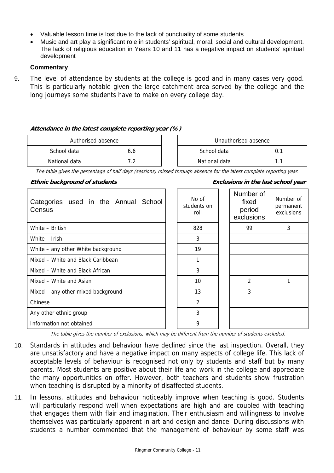- Valuable lesson time is lost due to the lack of punctuality of some students
- Music and art play a significant role in students' spiritual, moral, social and cultural development. The lack of religious education in Years 10 and 11 has a negative impact on students' spiritual development

## **Commentary**

9. The level of attendance by students at the college is good and in many cases very good. This is particularly notable given the large catchment area served by the college and the long journeys some students have to make on every college day.

#### **Attendance in the latest complete reporting year (%)**

| Authorised absence |     | Unauthorised absence |  |  |
|--------------------|-----|----------------------|--|--|
| School data        | b.b | School data<br>υ.    |  |  |
| National data      |     | National data        |  |  |

The table gives the percentage of half days (sessions) missed through absence for the latest complete reporting year.

#### **Ethnic background of students Exclusions in the last school year**

| Categories used in the Annual School<br>Census | No of<br>students on<br>roll | Number of<br>fixed<br>period<br>exclusions | Number of<br>permanent<br>exclusions |
|------------------------------------------------|------------------------------|--------------------------------------------|--------------------------------------|
| White - British                                | 828                          | 99                                         | 3                                    |
| White - Irish                                  | 3                            |                                            |                                      |
| White - any other White background             | 19                           |                                            |                                      |
| Mixed – White and Black Caribbean              | 1                            |                                            |                                      |
| Mixed – White and Black African                | 3                            |                                            |                                      |
| Mixed - White and Asian                        | 10                           | $\mathcal{P}$                              |                                      |
| Mixed – any other mixed background             | 13                           | 3                                          |                                      |
| Chinese                                        | 2                            |                                            |                                      |
| Any other ethnic group                         | 3                            |                                            |                                      |
| Information not obtained                       | 9                            |                                            |                                      |

The table gives the number of exclusions, which may be different from the number of students excluded.

- 10. Standards in attitudes and behaviour have declined since the last inspection. Overall, they are unsatisfactory and have a negative impact on many aspects of college life. This lack of acceptable levels of behaviour is recognised not only by students and staff but by many parents. Most students are positive about their life and work in the college and appreciate the many opportunities on offer. However, both teachers and students show frustration when teaching is disrupted by a minority of disaffected students.
- 11. In lessons, attitudes and behaviour noticeably improve when teaching is good. Students will particularly respond well when expectations are high and are coupled with teaching that engages them with flair and imagination. Their enthusiasm and willingness to involve themselves was particularly apparent in art and design and dance. During discussions with students a number commented that the management of behaviour by some staff was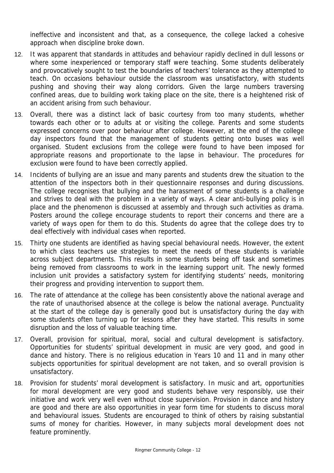ineffective and inconsistent and that, as a consequence, the college lacked a cohesive approach when discipline broke down.

- 12. It was apparent that standards in attitudes and behaviour rapidly declined in dull lessons or where some inexperienced or temporary staff were teaching. Some students deliberately and provocatively sought to test the boundaries of teachers' tolerance as they attempted to teach. On occasions behaviour outside the classroom was unsatisfactory, with students pushing and shoving their way along corridors. Given the large numbers traversing confined areas, due to building work taking place on the site, there is a heightened risk of an accident arising from such behaviour.
- 13. Overall, there was a distinct lack of basic courtesy from too many students, whether towards each other or to adults at or visiting the college. Parents and some students expressed concerns over poor behaviour after college. However, at the end of the college day inspectors found that the management of students getting onto buses was well organised. Student exclusions from the college were found to have been imposed for appropriate reasons and proportionate to the lapse in behaviour. The procedures for exclusion were found to have been correctly applied.
- 14. Incidents of bullying are an issue and many parents and students drew the situation to the attention of the inspectors both in their questionnaire responses and during discussions. The college recognises that bullying and the harassment of some students is a challenge and strives to deal with the problem in a variety of ways. A clear anti-bullying policy is in place and the phenomenon is discussed at assembly and through such activities as drama. Posters around the college encourage students to report their concerns and there are a variety of ways open for them to do this. Students do agree that the college does try to deal effectively with individual cases when reported.
- 15. Thirty one students are identified as having special behavioural needs. However, the extent to which class teachers use strategies to meet the needs of these students is variable across subject departments. This results in some students being off task and sometimes being removed from classrooms to work in the learning support unit. The newly formed inclusion unit provides a satisfactory system for identifying students' needs, monitoring their progress and providing intervention to support them.
- 16. The rate of attendance at the college has been consistently above the national average and the rate of unauthorised absence at the college is below the national average. Punctuality at the start of the college day is generally good but is unsatisfactory during the day with some students often turning up for lessons after they have started. This results in some disruption and the loss of valuable teaching time.
- 17. Overall, provision for spiritual, moral, social and cultural development is satisfactory. Opportunities for students' spiritual development in music are very good, and good in dance and history. There is no religious education in Years 10 and 11 and in many other subjects opportunities for spiritual development are not taken, and so overall provision is unsatisfactory.
- 18. Provision for students' moral development is satisfactory. In music and art, opportunities for moral development are very good and students behave very responsibly, use their initiative and work very well even without close supervision. Provision in dance and history are good and there are also opportunities in year form time for students to discuss moral and behavioural issues. Students are encouraged to think of others by raising substantial sums of money for charities. However, in many subjects moral development does not feature prominently.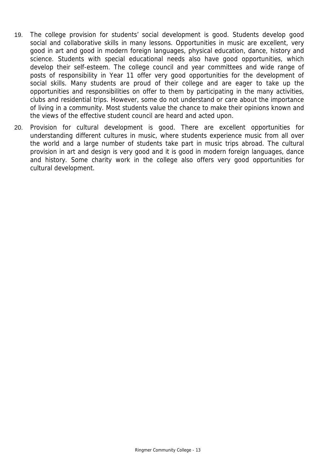- 19. The college provision for students' social development is good. Students develop good social and collaborative skills in many lessons. Opportunities in music are excellent, very good in art and good in modern foreign languages, physical education, dance, history and science. Students with special educational needs also have good opportunities, which develop their self-esteem. The college council and year committees and wide range of posts of responsibility in Year 11 offer very good opportunities for the development of social skills. Many students are proud of their college and are eager to take up the opportunities and responsibilities on offer to them by participating in the many activities, clubs and residential trips. However, some do not understand or care about the importance of living in a community. Most students value the chance to make their opinions known and the views of the effective student council are heard and acted upon.
- 20. Provision for cultural development is good. There are excellent opportunities for understanding different cultures in music, where students experience music from all over the world and a large number of students take part in music trips abroad. The cultural provision in art and design is very good and it is good in modern foreign languages, dance and history. Some charity work in the college also offers very good opportunities for cultural development.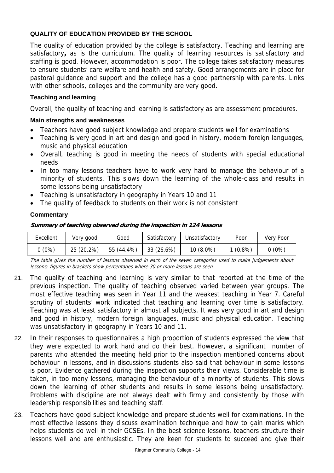# **QUALITY OF EDUCATION PROVIDED BY THE SCHOOL**

The quality of education provided by the college is satisfactory. Teaching and learning are satisfactory**,** as is the curriculum. The quality of learning resources is satisfactory and staffing is good. However, accommodation is poor. The college takes satisfactory measures to ensure students' care welfare and health and safety. Good arrangements are in place for pastoral guidance and support and the college has a good partnership with parents. Links with other schools, colleges and the community are very good.

## **Teaching and learning**

Overall, the quality of teaching and learning is satisfactory as are assessment procedures.

### **Main strengths and weaknesses**

- Teachers have good subject knowledge and prepare students well for examinations
- Teaching is very good in art and design and good in history, modern foreign languages, music and physical education
- Overall, teaching is good in meeting the needs of students with special educational needs
- In too many lessons teachers have to work very hard to manage the behaviour of a minority of students. This slows down the learning of the whole-class and results in some lessons being unsatisfactory
- Teaching is unsatisfactory in geography in Years 10 and 11
- The quality of feedback to students on their work is not consistent

# **Commentary**

#### **Summary of teaching observed during the inspection in 124 lessons**

| Excellent | Very good  | Good       | Satisfactory | Unsatisfactory | Poor      | Very Poor |
|-----------|------------|------------|--------------|----------------|-----------|-----------|
| 0(0%)     | 25 (20.2%) | 55 (44.4%) | 33 (26.6%)   | $10(8.0\%)$    | $(0.8\%)$ | $0(0\%)$  |

The table gives the number of lessons observed in each of the seven categories used to make judgements about lessons; figures in brackets show percentages where 30 or more lessons are seen.

- 21. The quality of teaching and learning is very similar to that reported at the time of the previous inspection. The quality of teaching observed varied between year groups. The most effective teaching was seen in Year 11 and the weakest teaching in Year 7. Careful scrutiny of students' work indicated that teaching and learning over time is satisfactory. Teaching was at least satisfactory in almost all subjects. It was very good in art and design and good in history, modern foreign languages, music and physical education. Teaching was unsatisfactory in geography in Years 10 and 11.
- 22. In their responses to questionnaires a high proportion of students expressed the view that they were expected to work hard and do their best. However, a significant number of parents who attended the meeting held prior to the inspection mentioned concerns about behaviour in lessons, and in discussions students also said that behaviour in some lessons is poor. Evidence gathered during the inspection supports their views. Considerable time is taken, in too many lessons, managing the behaviour of a minority of students. This slows down the learning of other students and results in some lessons being unsatisfactory. Problems with discipline are not always dealt with firmly and consistently by those with leadership responsibilities and teaching staff.
- 23. Teachers have good subject knowledge and prepare students well for examinations. In the most effective lessons they discuss examination technique and how to gain marks which helps students do well in their GCSEs. In the best science lessons, teachers structure their lessons well and are enthusiastic. They are keen for students to succeed and give their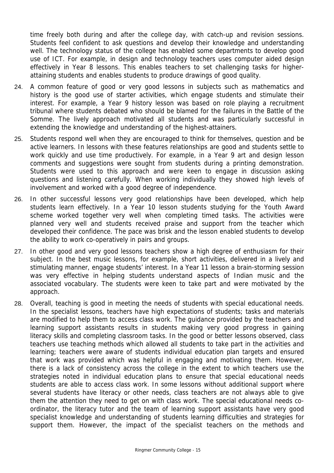time freely both during and after the college day, with catch-up and revision sessions. Students feel confident to ask questions and develop their knowledge and understanding well. The technology status of the college has enabled some departments to develop good use of ICT. For example, in design and technology teachers uses computer aided design effectively in Year 8 lessons. This enables teachers to set challenging tasks for higherattaining students and enables students to produce drawings of good quality.

- 24. A common feature of good or very good lessons in subjects such as mathematics and history is the good use of starter activities, which engage students and stimulate their interest. For example, a Year 9 history lesson was based on role playing a recruitment tribunal where students debated who should be blamed for the failures in the Battle of the Somme. The lively approach motivated all students and was particularly successful in extending the knowledge and understanding of the highest-attainers.
- 25. Students respond well when they are encouraged to think for themselves, question and be active learners. In lessons with these features relationships are good and students settle to work quickly and use time productively. For example, in a Year 9 art and design lesson comments and suggestions were sought from students during a printing demonstration. Students were used to this approach and were keen to engage in discussion asking questions and listening carefully. When working individually they showed high levels of involvement and worked with a good degree of independence.
- 26. In other successful lessons very good relationships have been developed, which help students learn effectively. In a Year 10 lesson students studying for the Youth Award scheme worked together very well when completing timed tasks. The activities were planned very well and students received praise and support from the teacher which developed their confidence. The pace was brisk and the lesson enabled students to develop the ability to work co-operatively in pairs and groups.
- 27. In other good and very good lessons teachers show a high degree of enthusiasm for their subject. In the best music lessons, for example, short activities, delivered in a lively and stimulating manner, engage students' interest. In a Year 11 lesson a brain-storming session was very effective in helping students understand aspects of Indian music and the associated vocabulary. The students were keen to take part and were motivated by the approach.
- 28. Overall, teaching is good in meeting the needs of students with special educational needs. In the specialist lessons, teachers have high expectations of students; tasks and materials are modified to help them to access class work. The guidance provided by the teachers and learning support assistants results in students making very good progress in gaining literacy skills and completing classroom tasks. In the good or better lessons observed, class teachers use teaching methods which allowed all students to take part in the activities and learning; teachers were aware of students individual education plan targets and ensured that work was provided which was helpful in engaging and motivating them. However, there is a lack of consistency across the college in the extent to which teachers use the strategies noted in individual education plans to ensure that special educational needs students are able to access class work. In some lessons without additional support where several students have literacy or other needs, class teachers are not always able to give them the attention they need to get on with class work. The special educational needs coordinator, the literacy tutor and the team of learning support assistants have very good specialist knowledge and understanding of students learning difficulties and strategies for support them. However, the impact of the specialist teachers on the methods and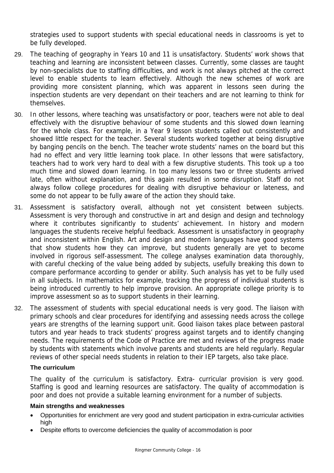strategies used to support students with special educational needs in classrooms is yet to be fully developed.

- 29. The teaching of geography in Years 10 and 11 is unsatisfactory. Students' work shows that teaching and learning are inconsistent between classes. Currently, some classes are taught by non-specialists due to staffing difficulties, and work is not always pitched at the correct level to enable students to learn effectively. Although the new schemes of work are providing more consistent planning, which was apparent in lessons seen during the inspection students are very dependant on their teachers and are not learning to think for themselves.
- 30. In other lessons, where teaching was unsatisfactory or poor, teachers were not able to deal effectively with the disruptive behaviour of some students and this slowed down learning for the whole class. For example, in a Year 9 lesson students called out consistently and showed little respect for the teacher. Several students worked together at being disruptive by banging pencils on the bench. The teacher wrote students' names on the board but this had no effect and very little learning took place. In other lessons that were satisfactory, teachers had to work very hard to deal with a few disruptive students. This took up a too much time and slowed down learning. In too many lessons two or three students arrived late, often without explanation, and this again resulted in some disruption. Staff do not always follow college procedures for dealing with disruptive behaviour or lateness, and some do not appear to be fully aware of the action they should take.
- 31. Assessment is satisfactory overall, although not yet consistent between subjects. Assessment is very thorough and constructive in art and design and design and technology where it contributes significantly to students' achievement. In history and modern languages the students receive helpful feedback. Assessment is unsatisfactory in geography and inconsistent within English. Art and design and modern languages have good systems that show students how they can improve, but students generally are yet to become involved in rigorous self-assessment. The college analyses examination data thoroughly, with careful checking of the value being added by subjects, usefully breaking this down to compare performance according to gender or ability. Such analysis has yet to be fully used in all subjects. In mathematics for example, tracking the progress of individual students is being introduced currently to help improve provision. An appropriate college priority is to improve assessment so as to support students in their learning.
- 32. The assessment of students with special educational needs is very good. The liaison with primary schools and clear procedures for identifying and assessing needs across the college years are strengths of the learning support unit. Good liaison takes place between pastoral tutors and year heads to track students' progress against targets and to identify changing needs. The requirements of the Code of Practice are met and reviews of the progress made by students with statements which involve parents and students are held regularly. Regular reviews of other special needs students in relation to their IEP targets, also take place.

#### **The curriculum**

The quality of the curriculum is satisfactory. Extra- curricular provision is very good. Staffing is good and learning resources are satisfactory. The quality of accommodation is poor and does not provide a suitable learning environment for a number of subjects.

#### **Main strengths and weaknesses**

- Opportunities for enrichment are very good and student participation in extra-curricular activities high
- Despite efforts to overcome deficiencies the quality of accommodation is poor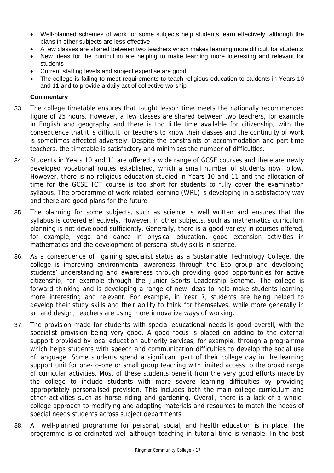- Well-planned schemes of work for some subjects help students learn effectively, although the plans in other subjects are less effective
- A few classes are shared between two teachers which makes learning more difficult for students
- New ideas for the curriculum are helping to make learning more interesting and relevant for students
- Current staffing levels and subject expertise are good
- The college is failing to meet requirements to teach religious education to students in Years 10 and 11 and to provide a daily act of collective worship

## **Commentary**

- 33. The college timetable ensures that taught lesson time meets the nationally recommended figure of 25 hours. However, a few classes are shared between two teachers, for example in English and geography and there is too little time available for citizenship, with the consequence that it is difficult for teachers to know their classes and the continuity of work is sometimes affected adversely. Despite the constraints of accommodation and part-time teachers, the timetable is satisfactory and minimises the number of difficulties.
- 34. Students in Years 10 and 11 are offered a wide range of GCSE courses and there are newly developed vocational routes established, which a small number of students now follow. However, there is no religious education studied in Years 10 and 11 and the allocation of time for the GCSE ICT course is too short for students to fully cover the examination syllabus. The programme of work related learning (WRL) is developing in a satisfactory way and there are good plans for the future.
- 35. The planning for some subjects, such as science is well written and ensures that the syllabus is covered effectively. However, in other subjects, such as mathematics curriculum planning is not developed sufficiently. Generally, there is a good variety in courses offered, for example, yoga and dance in physical education, good extension activities in mathematics and the development of personal study skills in science.
- 36. As a consequence of gaining specialist status as a Sustainable Technology College, the college is improving environmental awareness through the Eco group and developing students' understanding and awareness through providing good opportunities for active citizenship, for example through the Junior Sports Leadership Scheme. The college is forward thinking and is developing a range of new ideas to help make students learning more interesting and relevant. For example, in Year 7, students are being helped to develop their study skills and their ability to think for themselves, while more generally in art and design, teachers are using more innovative ways of working.
- 37. The provision made for students with special educational needs is good overall, with the specialist provision being very good. A good focus is placed on adding to the external support provided by local education authority services, for example, through a programme which helps students with speech and communication difficulties to develop the social use of language. Some students spend a significant part of their college day in the learning support unit for one-to-one or small group teaching with limited access to the broad range of curricular activities. Most of these students benefit from the very good efforts made by the college to include students with more severe learning difficulties by providing appropriately personalised provision. This includes both the main college curriculum and other activities such as horse riding and gardening. Overall, there is a lack of a wholecollege approach to modifying and adapting materials and resources to match the needs of special needs students across subject departments.
- 38. A well-planned programme for personal, social, and health education is in place. The programme is co-ordinated well although teaching in tutorial time is variable. In the best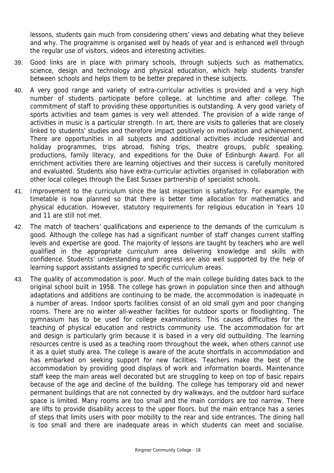lessons, students gain much from considering others' views and debating what they believe and why. The programme is organised well by heads of year and is enhanced well through the regular use of visitors, videos and interesting activities.

- 39. Good links are in place with primary schools, through subjects such as mathematics, science, design and technology and physical education, which help students transfer between schools and helps them to be better prepared in these subjects.
- 40. A very good range and variety of extra-curricular activities is provided and a very high number of students participate before college, at lunchtime and after college. The commitment of staff to providing these opportunities is outstanding. A very good variety of sports activities and team games is very well attended. The provision of a wide range of activities in music is a particular strength. In art, there are visits to galleries that are closely linked to students' studies and therefore impact positively on motivation and achievement. There are opportunities in all subjects and additional activities include residential and holiday programmes, trips abroad, fishing trips, theatre groups, public speaking, productions, family literacy, and expeditions for the Duke of Edinburgh Award. For all enrichment activities there are learning objectives and their success is carefully monitored and evaluated. Students also have extra-curricular activities organised in collaboration with other local colleges through the East Sussex partnership of specialist schools.
- 41. Improvement to the curriculum since the last inspection is satisfactory. For example, the timetable is now planned so that there is better time allocation for mathematics and physical education. However, statutory requirements for religious education in Years 10 and 11 are still not met.
- 42. The match of teachers' qualifications and experience to the demands of the curriculum is good. Although the college has had a significant number of staff changes current staffing levels and expertise are good. The majority of lessons are taught by teachers who are well qualified in the appropriate curriculum area delivering knowledge and skills with confidence. Students' understanding and progress are also well supported by the help of learning support assistants assigned to specific curriculum areas.
- 43. The quality of accommodation is poor. Much of the main college building dates back to the original school built in 1958. The college has grown in population since then and although adaptations and additions are continuing to be made, the accommodation is inadequate in a number of areas. Indoor sports facilities consist of an old small gym and poor changing rooms. There are no winter all-weather facilities for outdoor sports or floodlighting. The gymnasium has to be used for college examinations. This causes difficulties for the teaching of physical education and restricts community use. The accommodation for art and design is particularly grim because it is based in a very old outbuilding. The learning resources centre is used as a teaching room throughout the week, when others cannot use it as a quiet study area. The college is aware of the acute shortfalls in accommodation and has embarked on seeking support for new facilities. Teachers make the best of the accommodation by providing good displays of work and information boards. Maintenance staff keep the main areas well decorated but are struggling to keep on top of basic repairs because of the age and decline of the building. The college has temporary old and newer permanent buildings that are not connected by dry walkways, and the outdoor hard surface space is limited. Many rooms are too small and the main corridors are too narrow. There are lifts to provide disability access to the upper floors, but the main entrance has a series of steps that limits users with poor mobility to the rear and side entrances. The dining hall is too small and there are inadequate areas in which students can meet and socialise.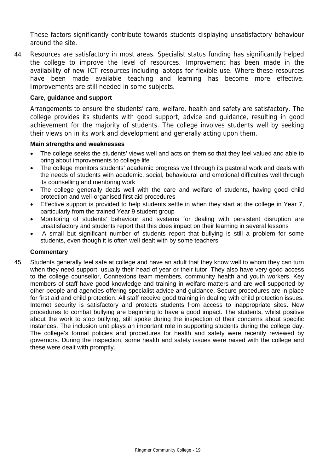These factors significantly contribute towards students displaying unsatisfactory behaviour around the site.

44. Resources are satisfactory in most areas. Specialist status funding has significantly helped the college to improve the level of resources. Improvement has been made in the availability of new ICT resources including laptops for flexible use. Where these resources have been made available teaching and learning has become more effective. Improvements are still needed in some subjects.

#### **Care, guidance and support**

Arrangements to ensure the students' care, welfare, health and safety are satisfactory. The college provides its students with good support, advice and guidance, resulting in good achievement for the majority of students. The college involves students well by seeking their views on in its work and development and generally acting upon them.

#### **Main strengths and weaknesses**

- The college seeks the students' views well and acts on them so that they feel valued and able to bring about improvements to college life
- The college monitors students' academic progress well through its pastoral work and deals with the needs of students with academic, social, behavioural and emotional difficulties well through its counselling and mentoring work
- The college generally deals well with the care and welfare of students, having good child protection and well-organised first aid procedures
- Effective support is provided to help students settle in when they start at the college in Year 7, particularly from the trained Year 9 student group
- Monitoring of students' behaviour and systems for dealing with persistent disruption are unsatisfactory and students report that this does impact on their learning in several lessons
- A small but significant number of students report that bullying is still a problem for some students, even though it is often well dealt with by some teachers

#### **Commentary**

45. Students generally feel safe at college and have an adult that they know well to whom they can turn when they need support, usually their head of year or their tutor. They also have very good access to the college counsellor, Connexions team members, community health and youth workers. Key members of staff have good knowledge and training in welfare matters and are well supported by other people and agencies offering specialist advice and guidance. Secure procedures are in place for first aid and child protection. All staff receive good training in dealing with child protection issues. Internet security is satisfactory and protects students from access to inappropriate sites. New procedures to combat bullying are beginning to have a good impact. The students, whilst positive about the work to stop bullying, still spoke during the inspection of their concerns about specific instances. The inclusion unit plays an important role in supporting students during the college day. The college's formal policies and procedures for health and safety were recently reviewed by governors. During the inspection, some health and safety issues were raised with the college and these were dealt with promptly.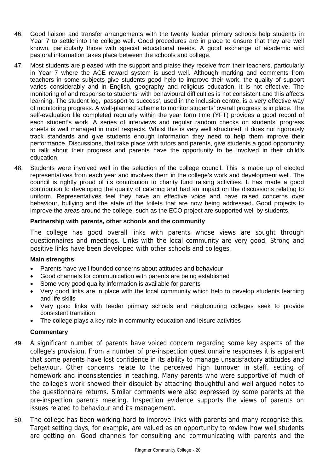- 46. Good liaison and transfer arrangements with the twenty feeder primary schools help students in Year 7 to settle into the college well. Good procedures are in place to ensure that they are well known, particularly those with special educational needs. A good exchange of academic and pastoral information takes place between the schools and college.
- 47. Most students are pleased with the support and praise they receive from their teachers, particularly in Year 7 where the ACE reward system is used well. Although marking and comments from teachers in some subjects give students good help to improve their work, the quality of support varies considerably and in English, geography and religious education, it is not effective. The monitoring of and response to students' with behavioural difficulties is not consistent and this affects learning. The student log, 'passport to success', used in the inclusion centre, is a very effective way of monitoring progress. A well-planned scheme to monitor students' overall progress is in place. The self-evaluation file completed regularly within the year form time (YFT) provides a good record of each student's work. A series of interviews and regular random checks on students' progress sheets is well managed in most respects. Whilst this is very well structured, it does not rigorously track standards and give students enough information they need to help them improve their performance. Discussions, that take place with tutors and parents, give students a good opportunity to talk about their progress and parents have the opportunity to be involved in their child's education.
- 48. Students were involved well in the selection of the college council. This is made up of elected representatives from each year and involves them in the college's work and development well. The council is rightly proud of its contribution to charity fund raising activities. It has made a good contribution to developing the quality of catering and had an impact on the discussions relating to uniform. Representatives feel they have an effective voice and have raised concerns over behaviour, bullying and the state of the toilets that are now being addressed. Good projects to improve the areas around the college, such as the ECO project are supported well by students.

#### **Partnership with parents, other schools and the community**

The college has good overall links with parents whose views are sought through questionnaires and meetings. Links with the local community are very good. Strong and positive links have been developed with other schools and colleges.

## **Main strengths**

- Parents have well founded concerns about attitudes and behaviour
- Good channels for communication with parents are being established
- Some very good quality information is available for parents
- Very good links are in place with the local community which help to develop students learning and life skills
- Very good links with feeder primary schools and neighbouring colleges seek to provide consistent transition
- The college plays a key role in community education and leisure activities

#### **Commentary**

- 49. A significant number of parents have voiced concern regarding some key aspects of the college's provision. From a number of pre-inspection questionnaire responses it is apparent that some parents have lost confidence in its ability to manage unsatisfactory attitudes and behaviour. Other concerns relate to the perceived high turnover in staff, setting of homework and inconsistencies in teaching. Many parents who were supportive of much of the college's work showed their disquiet by attaching thoughtful and well argued notes to the questionnaire returns. Similar comments were also expressed by some parents at the pre-inspection parents meeting. Inspection evidence supports the views of parents on issues related to behaviour and its management.
- 50. The college has been working hard to improve links with parents and many recognise this. Target setting days, for example, are valued as an opportunity to review how well students are getting on. Good channels for consulting and communicating with parents and the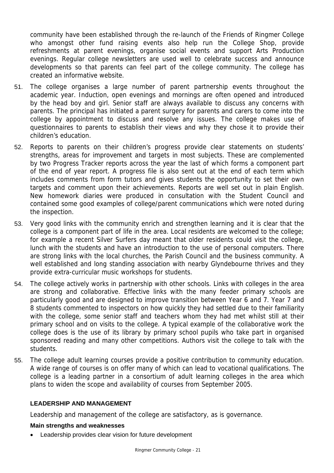community have been established through the re-launch of the Friends of Ringmer College who amongst other fund raising events also help run the College Shop, provide refreshments at parent evenings, organise social events and support Arts Production evenings. Regular college newsletters are used well to celebrate success and announce developments so that parents can feel part of the college community. The college has created an informative website.

- 51. The college organises a large number of parent partnership events throughout the academic year. Induction, open evenings and mornings are often opened and introduced by the head boy and girl. Senior staff are always available to discuss any concerns with parents. The principal has initiated a parent surgery for parents and carers to come into the college by appointment to discuss and resolve any issues. The college makes use of questionnaires to parents to establish their views and why they chose it to provide their children's education.
- 52. Reports to parents on their children's progress provide clear statements on students' strengths, areas for improvement and targets in most subjects. These are complemented by two Progress Tracker reports across the year the last of which forms a component part of the end of year report. A progress file is also sent out at the end of each term which includes comments from form tutors and gives students the opportunity to set their own targets and comment upon their achievements. Reports are well set out in plain English. New homework diaries were produced in consultation with the Student Council and contained some good examples of college/parent communications which were noted during the inspection.
- 53. Very good links with the community enrich and strengthen learning and it is clear that the college is a component part of life in the area. Local residents are welcomed to the college; for example a recent Silver Surfers day meant that older residents could visit the college, lunch with the students and have an introduction to the use of personal computers. There are strong links with the local churches, the Parish Council and the business community. A well established and long standing association with nearby Glyndebourne thrives and they provide extra-curricular music workshops for students.
- 54. The college actively works in partnership with other schools. Links with colleges in the area are strong and collaborative. Effective links with the many feeder primary schools are particularly good and are designed to improve transition between Year 6 and 7. Year 7 and 8 students commented to inspectors on how quickly they had settled due to their familiarity with the college, some senior staff and teachers whom they had met whilst still at their primary school and on visits to the college. A typical example of the collaborative work the college does is the use of its library by primary school pupils who take part in organised sponsored reading and many other competitions. Authors visit the college to talk with the students.
- 55. The college adult learning courses provide a positive contribution to community education. A wide range of courses is on offer many of which can lead to vocational qualifications. The college is a leading partner in a consortium of adult learning colleges in the area which plans to widen the scope and availability of courses from September 2005.

#### **LEADERSHIP AND MANAGEMENT**

Leadership and management of the college are satisfactory, as is governance.

#### **Main strengths and weaknesses**

• Leadership provides clear vision for future development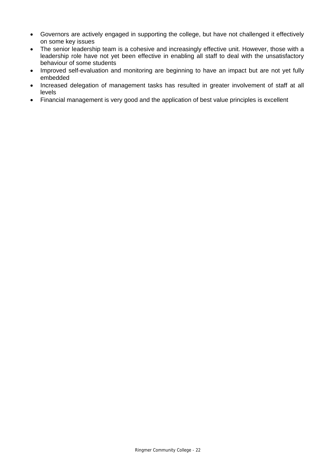- Governors are actively engaged in supporting the college, but have not challenged it effectively on some key issues
- The senior leadership team is a cohesive and increasingly effective unit. However, those with a leadership role have not yet been effective in enabling all staff to deal with the unsatisfactory behaviour of some students
- Improved self-evaluation and monitoring are beginning to have an impact but are not yet fully embedded
- Increased delegation of management tasks has resulted in greater involvement of staff at all levels
- Financial management is very good and the application of best value principles is excellent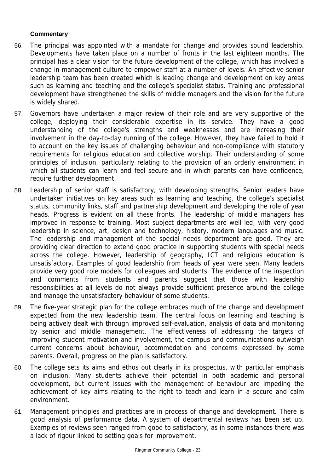# **Commentary**

- 56. The principal was appointed with a mandate for change and provides sound leadership. Developments have taken place on a number of fronts in the last eighteen months. The principal has a clear vision for the future development of the college, which has involved a change in management culture to empower staff at a number of levels. An effective senior leadership team has been created which is leading change and development on key areas such as learning and teaching and the college's specialist status. Training and professional development have strengthened the skills of middle managers and the vision for the future is widely shared.
- 57. Governors have undertaken a major review of their role and are very supportive of the college, deploying their considerable expertise in its service. They have a good understanding of the college's strengths and weaknesses and are increasing their involvement in the day-to-day running of the college. However, they have failed to hold it to account on the key issues of challenging behaviour and non-compliance with statutory requirements for religious education and collective worship. Their understanding of some principles of inclusion, particularly relating to the provision of an orderly environment in which all students can learn and feel secure and in which parents can have confidence, require further development.
- 58. Leadership of senior staff is satisfactory, with developing strengths. Senior leaders have undertaken initiatives on key areas such as learning and teaching, the college's specialist status, community links, staff and partnership development and developing the role of year heads. Progress is evident on all these fronts. The leadership of middle managers has improved in response to training. Most subject departments are well led, with very good leadership in science, art, design and technology, history, modern languages and music. The leadership and management of the special needs department are good. They are providing clear direction to extend good practice in supporting students with special needs across the college. However, leadership of geography, ICT and religious education is unsatisfactory. Examples of good leadership from heads of year were seen. Many leaders provide very good role models for colleagues and students. The evidence of the inspection and comments from students and parents suggest that those with leadership responsibilities at all levels do not always provide sufficient presence around the college and manage the unsatisfactory behaviour of some students.
- 59. The five-year strategic plan for the college embraces much of the change and development expected from the new leadership team. The central focus on learning and teaching is being actively dealt with through improved self-evaluation, analysis of data and monitoring by senior and middle management. The effectiveness of addressing the targets of improving student motivation and involvement, the campus and communications outweigh current concerns about behaviour, accommodation and concerns expressed by some parents. Overall, progress on the plan is satisfactory.
- 60. The college sets its aims and ethos out clearly in its prospectus, with particular emphasis on inclusion. Many students achieve their potential in both academic and personal development, but current issues with the management of behaviour are impeding the achievement of key aims relating to the right to teach and learn in a secure and calm environment.
- 61. Management principles and practices are in process of change and development. There is good analysis of performance data. A system of departmental reviews has been set up. Examples of reviews seen ranged from good to satisfactory, as in some instances there was a lack of rigour linked to setting goals for improvement.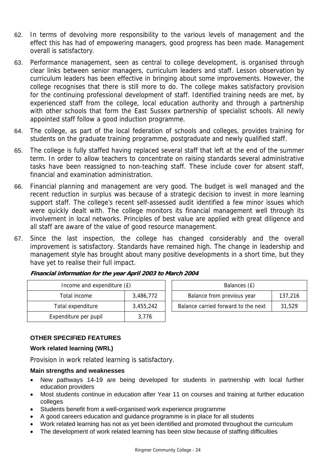- 62. In terms of devolving more responsibility to the various levels of management and the effect this has had of empowering managers, good progress has been made. Management overall is satisfactory.
- 63. Performance management, seen as central to college development, is organised through clear links between senior managers, curriculum leaders and staff. Lesson observation by curriculum leaders has been effective in bringing about some improvements. However, the college recognises that there is still more to do. The college makes satisfactory provision for the continuing professional development of staff. Identified training needs are met, by experienced staff from the college, local education authority and through a partnership with other schools that form the East Sussex partnership of specialist schools. All newly appointed staff follow a good induction programme.
- 64. The college, as part of the local federation of schools and colleges, provides training for students on the graduate training programme, postgraduate and newly qualified staff.
- 65. The college is fully staffed having replaced several staff that left at the end of the summer term. In order to allow teachers to concentrate on raising standards several administrative tasks have been reassigned to non-teaching staff. These include cover for absent staff, financial and examination administration.
- 66. Financial planning and management are very good. The budget is well managed and the recent reduction in surplus was because of a strategic decision to invest in more learning support staff. The college's recent self-assessed audit identified a few minor issues which were quickly dealt with. The college monitors its financial management well through its involvement in local networks. Principles of best value are applied with great diligence and all staff are aware of the value of good resource management.
- 67. Since the last inspection, the college has changed considerably and the overall improvement is satisfactory. Standards have remained high. The change in leadership and management style has brought about many positive developments in a short time, but they have yet to realise their full impact.

| Income and expenditure (£) |           | Balances (£)                        |         |
|----------------------------|-----------|-------------------------------------|---------|
| Total income               | 3,486,772 | Balance from previous year          | 137,216 |
| Total expenditure          | 3.455.242 | Balance carried forward to the next | 31,529  |
| Expenditure per pupil      | 3.776     |                                     |         |

**Financial information for the year April 2003 to March 2004**

# **OTHER SPECIFIED FEATURES**

#### **Work related learning (WRL)**

Provision in work related learning is satisfactory.

#### **Main strengths and weaknesses**

- New pathways 14-19 are being developed for students in partnership with local further education providers
- Most students continue in education after Year 11 on courses and training at further education colleges
- Students benefit from a well-organised work experience programme
- A good careers education and guidance programme is in place for all students
- Work related learning has not as yet been identified and promoted throughout the curriculum
- The development of work related learning has been slow because of staffing difficulties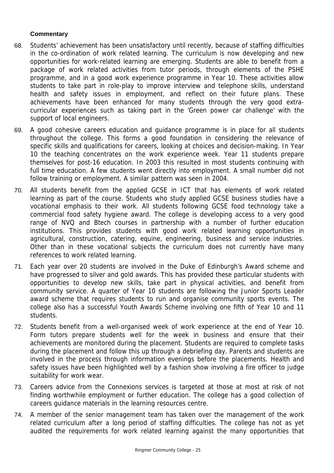# **Commentary**

- 68. Students' achievement has been unsatisfactory until recently, because of staffing difficulties in the co-ordination of work related learning. The curriculum is now developing and new opportunities for work-related learning are emerging. Students are able to benefit from a package of work related activities from tutor periods, through elements of the PSHE programme, and in a good work experience programme in Year 10. These activities allow students to take part in role-play to improve interview and telephone skills, understand health and safety issues in employment, and reflect on their future plans. These achievements have been enhanced for many students through the very good extracurricular experiences such as taking part in the 'Green power car challenge' with the support of local engineers.
- 69. A good cohesive careers education and guidance programme is in place for all students throughout the college. This forms a good foundation in considering the relevance of specific skills and qualifications for careers, looking at choices and decision-making. In Year 10 the teaching concentrates on the work experience week. Year 11 students prepare themselves for post-16 education. In 2003 this resulted in most students continuing with full time education. A few students went directly into employment. A small number did not follow training or employment. A similar pattern was seen in 2004.
- 70. All students benefit from the applied GCSE in ICT that has elements of work related learning as part of the course. Students who study applied GCSE business studies have a vocational emphasis to their work. All students following GCSE food technology take a commercial food safety hygiene award. The college is developing access to a very good range of NVQ and Btech courses in partnership with a number of further education institutions. This provides students with good work related learning opportunities in agricultural, construction, catering, equine, engineering, business and service industries. Other than in these vocational subjects the curriculum does not currently have many references to work related learning.
- 71. Each year over 20 students are involved in the Duke of Edinburgh's Award scheme and have progressed to silver and gold awards. This has provided these particular students with opportunities to develop new skills, take part in physical activities, and benefit from community service. A quarter of Year 10 students are following the Junior Sports Leader award scheme that requires students to run and organise community sports events. The college also has a successful Youth Awards Scheme involving one fifth of Year 10 and 11 students.
- 72. Students benefit from a well-organised week of work experience at the end of Year 10. Form tutors prepare students well for the week in business and ensure that their achievements are monitored during the placement. Students are required to complete tasks during the placement and follow this up through a debriefing day. Parents and students are involved in the process through information evenings before the placements. Health and safety issues have been highlighted well by a fashion show involving a fire officer to judge suitability for work wear.
- 73. Careers advice from the Connexions services is targeted at those at most at risk of not finding worthwhile employment or further education. The college has a good collection of careers guidance materials in the learning resources centre.
- 74. A member of the senior management team has taken over the management of the work related curriculum after a long period of staffing difficulties. The college has not as yet audited the requirements for work related learning against the many opportunities that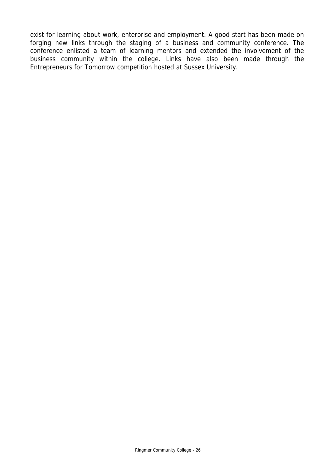exist for learning about work, enterprise and employment. A good start has been made on forging new links through the staging of a business and community conference. The conference enlisted a team of learning mentors and extended the involvement of the business community within the college. Links have also been made through the Entrepreneurs for Tomorrow competition hosted at Sussex University.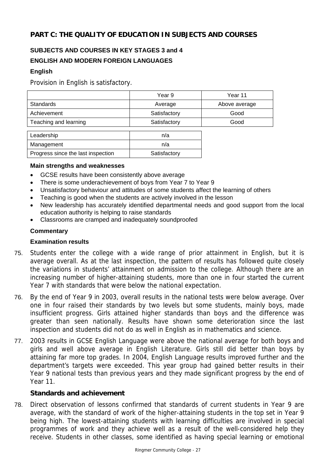# **PART C: THE QUALITY OF EDUCATION IN SUBJECTS AND COURSES**

# **SUBJECTS AND COURSES IN KEY STAGES 3 and 4 ENGLISH AND MODERN FOREIGN LANGUAGES**

## **English**

Provision in English is satisfactory.

|                                    | Year 9       | Year 11       |
|------------------------------------|--------------|---------------|
| <b>Standards</b>                   | Average      | Above average |
| Achievement                        | Satisfactory | Good          |
| Teaching and learning              | Satisfactory | Good          |
|                                    |              |               |
| Leadership                         | n/a          |               |
| Management                         | n/a          |               |
| Progress since the last inspection | Satisfactory |               |

#### **Main strengths and weaknesses**

- GCSE results have been consistently above average
- There is some underachievement of boys from Year 7 to Year 9
- Unsatisfactory behaviour and attitudes of some students affect the learning of others
- Teaching is good when the students are actively involved in the lesson
- New leadership has accurately identified departmental needs and good support from the local education authority is helping to raise standards
- Classrooms are cramped and inadequately soundproofed

## **Commentary**

#### **Examination results**

- 75. Students enter the college with a wide range of prior attainment in English, but it is average overall. As at the last inspection, the pattern of results has followed quite closely the variations in students' attainment on admission to the college. Although there are an increasing number of higher-attaining students, more than one in four started the current Year 7 with standards that were below the national expectation.
- 76. By the end of Year 9 in 2003, overall results in the national tests were below average. Over one in four raised their standards by two levels but some students, mainly boys, made insufficient progress. Girls attained higher standards than boys and the difference was greater than seen nationally. Results have shown some deterioration since the last inspection and students did not do as well in English as in mathematics and science.
- 77. 2003 results in GCSE English Language were above the national average for both boys and girls and well above average in English Literature. Girls still did better than boys by attaining far more top grades. In 2004, English Language results improved further and the department's targets were exceeded. This year group had gained better results in their Year 9 national tests than previous years and they made significant progress by the end of Year 11.

# **Standards and achievement**

78. Direct observation of lessons confirmed that standards of current students in Year 9 are average, with the standard of work of the higher-attaining students in the top set in Year 9 being high. The lowest-attaining students with learning difficulties are involved in special programmes of work and they achieve well as a result of the well-considered help they receive. Students in other classes, some identified as having special learning or emotional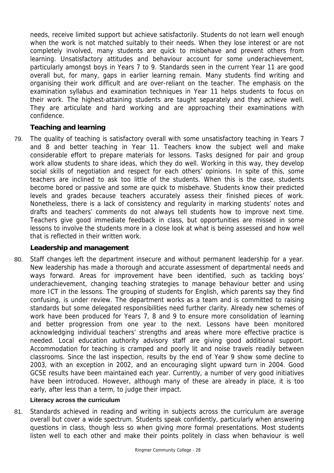needs, receive limited support but achieve satisfactorily. Students do not learn well enough when the work is not matched suitably to their needs. When they lose interest or are not completely involved, many students are quick to misbehave and prevent others from learning. Unsatisfactory attitudes and behaviour account for some underachievement, particularly amongst boys in Years 7 to 9. Standards seen in the current Year 11 are good overall but, for many, gaps in earlier learning remain. Many students find writing and organising their work difficult and are over-reliant on the teacher. The emphasis on the examination syllabus and examination techniques in Year 11 helps students to focus on their work. The highest-attaining students are taught separately and they achieve well. They are articulate and hard working and are approaching their examinations with confidence.

# **Teaching and learning**

79. The quality of teaching is satisfactory overall with some unsatisfactory teaching in Years 7 and 8 and better teaching in Year 11. Teachers know the subject well and make considerable effort to prepare materials for lessons. Tasks designed for pair and group work allow students to share ideas, which they do well. Working in this way, they develop social skills of negotiation and respect for each others' opinions. In spite of this, some teachers are inclined to ask too little of the students. When this is the case, students become bored or passive and some are quick to misbehave. Students know their predicted levels and grades because teachers accurately assess their finished pieces of work. Nonetheless, there is a lack of consistency and regularity in marking students' notes and drafts and teachers' comments do not always tell students how to improve next time. Teachers give good immediate feedback in class, but opportunities are missed in some lessons to involve the students more in a close look at what is being assessed and how well that is reflected in their written work.

# **Leadership and management**

80. Staff changes left the department insecure and without permanent leadership for a year. New leadership has made a thorough and accurate assessment of departmental needs and ways forward. Areas for improvement have been identified, such as tackling boys' underachievement, changing teaching strategies to manage behaviour better and using more ICT in the lessons. The grouping of students for English, which parents say they find confusing, is under review. The department works as a team and is committed to raising standards but some delegated responsibilities need further clarity. Already new schemes of work have been produced for Years 7, 8 and 9 to ensure more consolidation of learning and better progression from one year to the next. Lessons have been monitored acknowledging individual teachers' strengths and areas where more effective practice is needed. Local education authority advisory staff are giving good additional support. Accommodation for teaching is cramped and poorly lit and noise travels readily between classrooms. Since the last inspection, results by the end of Year 9 show some decline to 2003, with an exception in 2002, and an encouraging slight upward turn in 2004. Good GCSE results have been maintained each year. Currently, a number of very good initiatives have been introduced. However, although many of these are already in place, it is too early, after less than a term, to judge their impact.

# **Literacy across the curriculum**

81. Standards achieved in reading and writing in subjects across the curriculum are average overall but cover a wide spectrum. Students speak confidently, particularly when answering questions in class, though less so when giving more formal presentations. Most students listen well to each other and make their points politely in class when behaviour is well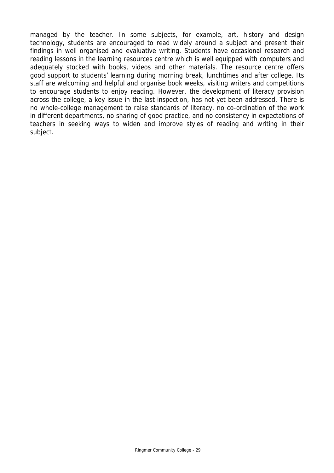managed by the teacher. In some subjects, for example, art, history and design technology, students are encouraged to read widely around a subject and present their findings in well organised and evaluative writing. Students have occasional research and reading lessons in the learning resources centre which is well equipped with computers and adequately stocked with books, videos and other materials. The resource centre offers good support to students' learning during morning break, lunchtimes and after college. Its staff are welcoming and helpful and organise book weeks, visiting writers and competitions to encourage students to enjoy reading. However, the development of literacy provision across the college, a key issue in the last inspection, has not yet been addressed. There is no whole-college management to raise standards of literacy, no co-ordination of the work in different departments, no sharing of good practice, and no consistency in expectations of teachers in seeking ways to widen and improve styles of reading and writing in their subject.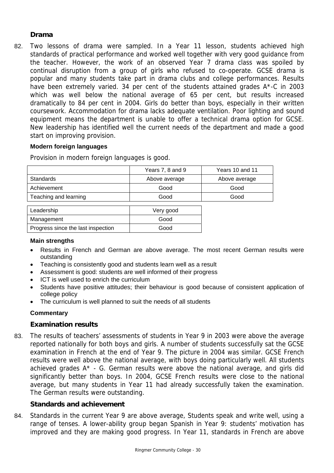# **Drama**

82. Two lessons of drama were sampled. In a Year 11 lesson, students achieved high standards of practical performance and worked well together with very good guidance from the teacher. However, the work of an observed Year 7 drama class was spoiled by continual disruption from a group of girls who refused to co-operate. GCSE drama is popular and many students take part in drama clubs and college performances. Results have been extremely varied. 34 per cent of the students attained grades A\*-C in 2003 which was well below the national average of 65 per cent, but results increased dramatically to 84 per cent in 2004. Girls do better than boys, especially in their written coursework. Accommodation for drama lacks adequate ventilation. Poor lighting and sound equipment means the department is unable to offer a technical drama option for GCSE. New leadership has identified well the current needs of the department and made a good start on improving provision.

## **Modern foreign languages**

Provision in modern foreign languages is good.

|                                    | Years 7, 8 and 9 | Years 10 and 11 |
|------------------------------------|------------------|-----------------|
| <b>Standards</b>                   | Above average    | Above average   |
| Achievement                        | Good             | Good            |
| Teaching and learning              | Good             | Good            |
|                                    |                  |                 |
| Leadership                         | Very good        |                 |
| Management                         | Good             |                 |
| Progress since the last inspection | Good             |                 |

#### **Main strengths**

- Results in French and German are above average. The most recent German results were outstanding
- Teaching is consistently good and students learn well as a result
- Assessment is good: students are well informed of their progress
- ICT is well used to enrich the curriculum
- Students have positive attitudes; their behaviour is good because of consistent application of college policy
- The curriculum is well planned to suit the needs of all students

# **Commentary**

# **Examination results**

83. The results of teachers' assessments of students in Year 9 in 2003 were above the average reported nationally for both boys and girls. A number of students successfully sat the GCSE examination in French at the end of Year 9. The picture in 2004 was similar. GCSE French results were well above the national average, with boys doing particularly well. All students achieved grades A\* - G. German results were above the national average, and girls did significantly better than boys. In 2004, GCSE French results were close to the national average, but many students in Year 11 had already successfully taken the examination. The German results were outstanding.

# **Standards and achievement**

84. Standards in the current Year 9 are above average, Students speak and write well, using a range of tenses. A lower-ability group began Spanish in Year 9: students' motivation has improved and they are making good progress. In Year 11, standards in French are above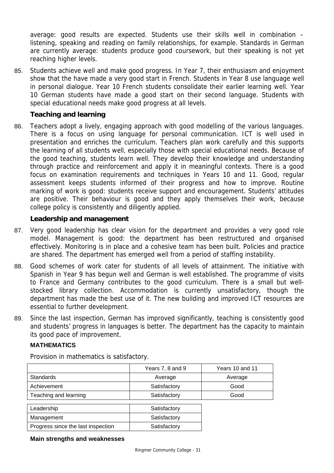average: good results are expected. Students use their skills well in combination – listening, speaking and reading on family relationships, for example. Standards in German are currently average: students produce good coursework, but their speaking is not yet reaching higher levels.

85. Students achieve well and make good progress. In Year 7, their enthusiasm and enjoyment show that the have made a very good start in French. Students in Year 8 use language well in personal dialogue. Year 10 French students consolidate their earlier learning well. Year 10 German students have made a good start on their second language. Students with special educational needs make good progress at all levels.

# **Teaching and learning**

86. Teachers adopt a lively, engaging approach with good modelling of the various languages. There is a focus on using language for personal communication. ICT is well used in presentation and enriches the curriculum. Teachers plan work carefully and this supports the learning of all students well, especially those with special educational needs. Because of the good teaching, students learn well. They develop their knowledge and understanding through practice and reinforcement and apply it in meaningful contexts. There is a good focus on examination requirements and techniques in Years 10 and 11. Good, regular assessment keeps students informed of their progress and how to improve. Routine marking of work is good: students receive support and encouragement. Students' attitudes are positive. Their behaviour is good and they apply themselves their work, because college policy is consistently and diligently applied.

# **Leadership and management**

- 87. Very good leadership has clear vision for the department and provides a very good role model. Management is good: the department has been restructured and organised effectively. Monitoring is in place and a cohesive team has been built. Policies and practice are shared. The department has emerged well from a period of staffing instability.
- 88. Good schemes of work cater for students of all levels of attainment. The initiative with Spanish in Year 9 has begun well and German is well established. The programme of visits to France and Germany contributes to the good curriculum. There is a small but wellstocked library collection. Accommodation is currently unsatisfactory, though the department has made the best use of it. The new building and improved ICT resources are essential to further development.
- 89. Since the last inspection, German has improved significantly, teaching is consistently good and students' progress in languages is better. The department has the capacity to maintain its good pace of improvement.

# **MATHEMATICS**

Provision in mathematics is satisfactory.

|                                    | Years 7, 8 and 9 | Years 10 and 11 |
|------------------------------------|------------------|-----------------|
| <b>Standards</b>                   | Average          | Average         |
| Achievement                        | Satisfactory     | Good            |
| Teaching and learning              | Satisfactory     | Good            |
|                                    |                  |                 |
| Leadership                         | Satisfactory     |                 |
| Management                         | Satisfactory     |                 |
| Progress since the last inspection | Satisfactory     |                 |

#### **Main strengths and weaknesses**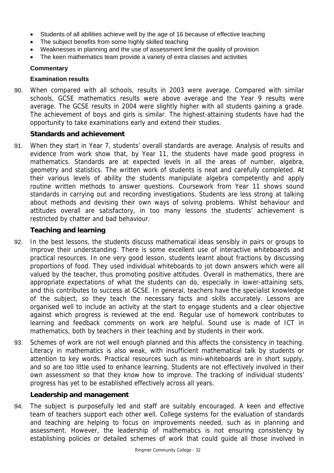- Students of all abilities achieve well by the age of 16 because of effective teaching
- The subject benefits from some highly skilled teaching
- Weaknesses in planning and the use of assessment limit the quality of provision
- The keen mathematics team provide a variety of extra classes and activities

#### **Commentary**

#### **Examination results**

90. When compared with all schools, results in 2003 were average. Compared with similar schools, GCSE mathematics results were above average and the Year 9 results were average. The GCSE results in 2004 were slightly higher with all students gaining a grade. The achievement of boys and girls is similar. The highest-attaining students have had the opportunity to take examinations early and extend their studies.

## **Standards and achievement**

91. When they start in Year 7, students' overall standards are average. Analysis of results and evidence from work show that, by Year 11, the students have made good progress in mathematics. Standards are at expected levels in all the areas of number, algebra, geometry and statistics. The written work of students is neat and carefully completed. At their various levels of ability the students manipulate algebra competently and apply routine written methods to answer questions. Coursework from Year 11 shows sound standards in carrying out and recording investigations. Students are less strong at talking about methods and devising their own ways of solving problems. Whilst behaviour and attitudes overall are satisfactory, in too many lessons the students' achievement is restricted by chatter and bad behaviour.

## **Teaching and learning**

- 92. In the best lessons, the students discuss mathematical ideas sensibly in pairs or groups to improve their understanding. There is some excellent use of interactive whiteboards and practical resources. In one very good lesson, students learnt about fractions by discussing proportions of food. They used individual whiteboards to jot down answers which were all valued by the teacher, thus promoting positive attitudes. Overall in mathematics, there are appropriate expectations of what the students can do, especially in lower-attaining sets, and this contributes to success at GCSE. In general, teachers have the specialist knowledge of the subject, so they teach the necessary facts and skills accurately. Lessons are organised well to include an activity at the start to engage students and a clear objective against which progress is reviewed at the end. Regular use of homework contributes to learning and feedback comments on work are helpful. Sound use is made of ICT in mathematics, both by teachers in their teaching and by students in their work.
- 93. Schemes of work are not well enough planned and this affects the consistency in teaching. Literacy in mathematics is also weak, with insufficient mathematical talk by students or attention to key words. Practical resources such as mini-whiteboards are in short supply, and so are too little used to enhance learning. Students are not effectively involved in their own assessment so that they know how to improve. The tracking of individual students' progress has yet to be established effectively across all years.

# **Leadership and management**

94. The subject is purposefully led and staff are suitably encouraged. A keen and effective team of teachers support each other well. College systems for the evaluation of standards and teaching are helping to focus on improvements needed, such as in planning and assessment. However, the leadership of mathematics is not ensuring consistency by establishing policies or detailed schemes of work that could guide all those involved in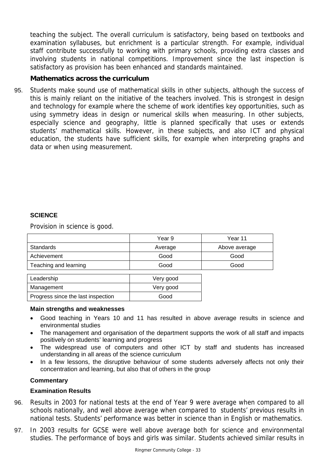teaching the subject. The overall curriculum is satisfactory, being based on textbooks and examination syllabuses, but enrichment is a particular strength. For example, individual staff contribute successfully to working with primary schools, providing extra classes and involving students in national competitions. Improvement since the last inspection is satisfactory as provision has been enhanced and standards maintained.

# **Mathematics across the curriculum**

95. Students make sound use of mathematical skills in other subjects, although the success of this is mainly reliant on the initiative of the teachers involved. This is strongest in design and technology for example where the scheme of work identifies key opportunities, such as using symmetry ideas in design or numerical skills when measuring. In other subjects, especially science and geography, little is planned specifically that uses or extends students' mathematical skills. However, in these subjects, and also ICT and physical education, the students have sufficient skills, for example when interpreting graphs and data or when using measurement.

## **SCIENCE**

Provision in science is good.

|                                    | Year 9    | Year 11       |
|------------------------------------|-----------|---------------|
| Standards                          | Average   | Above average |
| Achievement                        | Good      | Good          |
| Teaching and learning              | Good      | Good          |
|                                    |           |               |
| Leadership                         | Very good |               |
| Management                         | Very good |               |
| Progress since the last inspection | Good      |               |

#### **Main strengths and weaknesses**

- Good teaching in Years 10 and 11 has resulted in above average results in science and environmental studies
- The management and organisation of the department supports the work of all staff and impacts positively on students' learning and progress
- The widespread use of computers and other ICT by staff and students has increased understanding in all areas of the science curriculum
- In a few lessons, the disruptive behaviour of some students adversely affects not only their concentration and learning, but also that of others in the group

### **Commentary**

#### **Examination Results**

- 96. Results in 2003 for national tests at the end of Year 9 were average when compared to all schools nationally, and well above average when compared to students' previous results in national tests. Students' performance was better in science than in English or mathematics.
- 97. In 2003 results for GCSE were well above average both for science and environmental studies. The performance of boys and girls was similar. Students achieved similar results in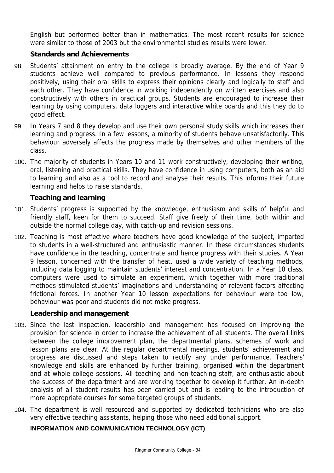English but performed better than in mathematics. The most recent results for science were similar to those of 2003 but the environmental studies results were lower.

# **Standards and Achievements**

- 98. Students' attainment on entry to the college is broadly average. By the end of Year 9 students achieve well compared to previous performance. In lessons they respond positively, using their oral skills to express their opinions clearly and logically to staff and each other. They have confidence in working independently on written exercises and also constructively with others in practical groups. Students are encouraged to increase their learning by using computers, data loggers and interactive white boards and this they do to good effect.
- 99. In Years 7 and 8 they develop and use their own personal study skills which increases their learning and progress. In a few lessons, a minority of students behave unsatisfactorily. This behaviour adversely affects the progress made by themselves and other members of the class.
- 100. The majority of students in Years 10 and 11 work constructively, developing their writing, oral, listening and practical skills. They have confidence in using computers, both as an aid to learning and also as a tool to record and analyse their results. This informs their future learning and helps to raise standards.

# **Teaching and learning**

- 101. Students' progress is supported by the knowledge, enthusiasm and skills of helpful and friendly staff, keen for them to succeed. Staff give freely of their time, both within and outside the normal college day, with catch-up and revision sessions.
- 102. Teaching is most effective where teachers have good knowledge of the subject, imparted to students in a well-structured and enthusiastic manner. In these circumstances students have confidence in the teaching, concentrate and hence progress with their studies. A Year 9 lesson, concerned with the transfer of heat, used a wide variety of teaching methods, including data logging to maintain students' interest and concentration. In a Year 10 class, computers were used to simulate an experiment, which together with more traditional methods stimulated students' imaginations and understanding of relevant factors affecting frictional forces. In another Year 10 lesson expectations for behaviour were too low, behaviour was poor and students did not make progress.

# **Leadership and management**

- 103. Since the last inspection, leadership and management has focused on improving the provision for science in order to increase the achievement of all students. The overall links between the college improvement plan, the departmental plans, schemes of work and lesson plans are clear. At the regular departmental meetings, students' achievement and progress are discussed and steps taken to rectify any under performance. Teachers' knowledge and skills are enhanced by further training, organised within the department and at whole-college sessions. All teaching and non-teaching staff, are enthusiastic about the success of the department and are working together to develop it further. An in-depth analysis of all student results has been carried out and is leading to the introduction of more appropriate courses for some targeted groups of students.
- 104. The department is well resourced and supported by dedicated technicians who are also very effective teaching assistants, helping those who need additional support.

# **INFORMATION AND COMMUNICATION TECHNOLOGY (ICT)**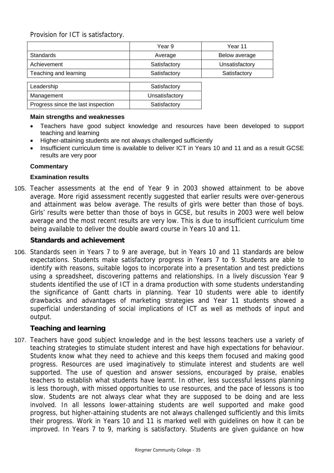Provision for ICT is satisfactory.

|                       | Year 9         | Year 11        |
|-----------------------|----------------|----------------|
| <b>Standards</b>      | Average        | Below average  |
| Achievement           | Satisfactory   | Unsatisfactory |
| Teaching and learning | Satisfactory   | Satisfactory   |
|                       |                |                |
| Leadership            | Satisfactory   |                |
| Management            | Unsatisfactory |                |

#### **Main strengths and weaknesses**

- Teachers have good subject knowledge and resources have been developed to support teaching and learning
- Higher-attaining students are not always challenged sufficiently

Progress since the last inspection Frogress since the last inspection

• Insufficient curriculum time is available to deliver ICT in Years 10 and 11 and as a result GCSE results are very poor

#### **Commentary**

#### **Examination results**

105. Teacher assessments at the end of Year 9 in 2003 showed attainment to be above average. More rigid assessment recently suggested that earlier results were over-generous and attainment was below average. The results of girls were better than those of boys. Girls' results were better than those of boys in GCSE, but results in 2003 were well below average and the most recent results are very low. This is due to insufficient curriculum time being available to deliver the double award course in Years 10 and 11.

#### **Standards and achievement**

106. Standards seen in Years 7 to 9 are average, but in Years 10 and 11 standards are below expectations. Students make satisfactory progress in Years 7 to 9. Students are able to identify with reasons, suitable logos to incorporate into a presentation and test predictions using a spreadsheet, discovering patterns and relationships. In a lively discussion Year 9 students identified the use of ICT in a drama production with some students understanding the significance of Gantt charts in planning. Year 10 students were able to identify drawbacks and advantages of marketing strategies and Year 11 students showed a superficial understanding of social implications of ICT as well as methods of input and output.

#### **Teaching and learning**

107. Teachers have good subject knowledge and in the best lessons teachers use a variety of teaching strategies to stimulate student interest and have high expectations for behaviour. Students know what they need to achieve and this keeps them focused and making good progress. Resources are used imaginatively to stimulate interest and students are well supported. The use of question and answer sessions, encouraged by praise, enables teachers to establish what students have learnt. In other, less successful lessons planning is less thorough, with missed opportunities to use resources, and the pace of lessons is too slow. Students are not always clear what they are supposed to be doing and are less involved. In all lessons lower-attaining students are well supported and make good progress, but higher-attaining students are not always challenged sufficiently and this limits their progress. Work in Years 10 and 11 is marked well with guidelines on how it can be improved. In Years 7 to 9, marking is satisfactory. Students are given guidance on how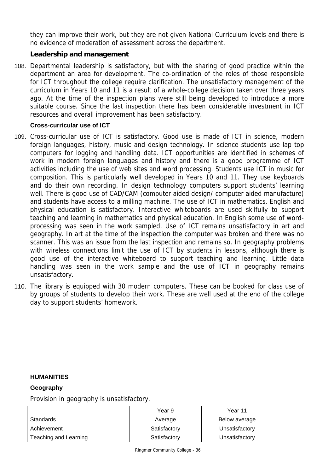they can improve their work, but they are not given National Curriculum levels and there is no evidence of moderation of assessment across the department.

# **Leadership and management**

108. Departmental leadership is satisfactory, but with the sharing of good practice within the department an area for development. The co-ordination of the roles of those responsible for ICT throughout the college require clarification. The unsatisfactory management of the curriculum in Years 10 and 11 is a result of a whole-college decision taken over three years ago. At the time of the inspection plans were still being developed to introduce a more suitable course. Since the last inspection there has been considerable investment in ICT resources and overall improvement has been satisfactory.

# **Cross-curricular use of ICT**

- 109. Cross-curricular use of ICT is satisfactory. Good use is made of ICT in science, modern foreign languages, history, music and design technology. In science students use lap top computers for logging and handling data. ICT opportunities are identified in schemes of work in modern foreign languages and history and there is a good programme of ICT activities including the use of web sites and word processing. Students use ICT in music for composition. This is particularly well developed in Years 10 and 11. They use keyboards and do their own recording. In design technology computers support students' learning well. There is good use of CAD/CAM (computer aided design/ computer aided manufacture) and students have access to a milling machine. The use of ICT in mathematics, English and physical education is satisfactory. Interactive whiteboards are used skilfully to support teaching and learning in mathematics and physical education. In English some use of wordprocessing was seen in the work sampled. Use of ICT remains unsatisfactory in art and geography. In art at the time of the inspection the computer was broken and there was no scanner. This was an issue from the last inspection and remains so. In geography problems with wireless connections limit the use of ICT by students in lessons, although there is good use of the interactive whiteboard to support teaching and learning. Little data handling was seen in the work sample and the use of ICT in geography remains unsatisfactory.
- 110. The library is equipped with 30 modern computers. These can be booked for class use of by groups of students to develop their work. These are well used at the end of the college day to support students' homework.

# **HUMANITIES**

# **Geography**

Provision in geography is unsatisfactory.

|                       | Year 9       | Year 11        |
|-----------------------|--------------|----------------|
| Standards             | Average      | Below average  |
| Achievement           | Satisfactory | Unsatisfactory |
| Teaching and Learning | Satisfactory | Unsatisfactory |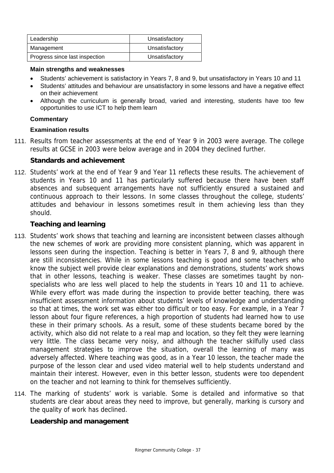| Leadership                     | Unsatisfactory |
|--------------------------------|----------------|
| Management                     | Unsatisfactory |
| Progress since last inspection | Unsatisfactory |

#### **Main strengths and weaknesses**

- Students' achievement is satisfactory in Years 7, 8 and 9, but unsatisfactory in Years 10 and 11
- Students' attitudes and behaviour are unsatisfactory in some lessons and have a negative effect on their achievement
- Although the curriculum is generally broad, varied and interesting, students have too few opportunities to use ICT to help them learn

#### **Commentary**

## **Examination results**

111. Results from teacher assessments at the end of Year 9 in 2003 were average. The college results at GCSE in 2003 were below average and in 2004 they declined further.

# **Standards and achievement**

112. Students' work at the end of Year 9 and Year 11 reflects these results. The achievement of students in Years 10 and 11 has particularly suffered because there have been staff absences and subsequent arrangements have not sufficiently ensured a sustained and continuous approach to their lessons. In some classes throughout the college, students' attitudes and behaviour in lessons sometimes result in them achieving less than they should.

# **Teaching and learning**

- 113. Students' work shows that teaching and learning are inconsistent between classes although the new schemes of work are providing more consistent planning, which was apparent in lessons seen during the inspection. Teaching is better in Years 7, 8 and 9, although there are still inconsistencies. While in some lessons teaching is good and some teachers who know the subject well provide clear explanations and demonstrations, students' work shows that in other lessons, teaching is weaker. These classes are sometimes taught by nonspecialists who are less well placed to help the students in Years 10 and 11 to achieve. While every effort was made during the inspection to provide better teaching, there was insufficient assessment information about students' levels of knowledge and understanding so that at times, the work set was either too difficult or too easy. For example, in a Year 7 lesson about four figure references, a high proportion of students had learned how to use these in their primary schools. As a result, some of these students became bored by the activity, which also did not relate to a real map and location, so they felt they were learning very little. The class became very noisy, and although the teacher skilfully used class management strategies to improve the situation, overall the learning of many was adversely affected. Where teaching was good, as in a Year 10 lesson, the teacher made the purpose of the lesson clear and used video material well to help students understand and maintain their interest. However, even in this better lesson, students were too dependent on the teacher and not learning to think for themselves sufficiently.
- 114. The marking of students' work is variable. Some is detailed and informative so that students are clear about areas they need to improve, but generally, marking is cursory and the quality of work has declined.

# **Leadership and management**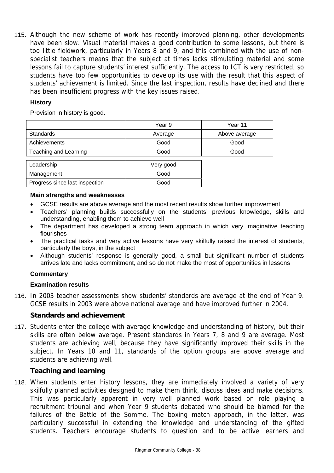115. Although the new scheme of work has recently improved planning, other developments have been slow. Visual material makes a good contribution to some lessons, but there is too little fieldwork, particularly in Years 8 and 9, and this combined with the use of nonspecialist teachers means that the subject at times lacks stimulating material and some lessons fail to capture students' interest sufficiently. The access to ICT is very restricted, so students have too few opportunities to develop its use with the result that this aspect of students' achievement is limited. Since the last inspection, results have declined and there has been insufficient progress with the key issues raised.

# **History**

Provision in history is good.

|                       | Year 9    | Year 11       |
|-----------------------|-----------|---------------|
| <b>Standards</b>      | Average   | Above average |
| Achievements          | Good      | Good          |
| Teaching and Learning | Good      | Good          |
|                       |           |               |
| Leadership            | Very good |               |
| Management            | Good      |               |

#### **Main strengths and weaknesses**

Progress since last inspection and all conditions of Good

- GCSE results are above average and the most recent results show further improvement
- Teachers' planning builds successfully on the students' previous knowledge, skills and understanding, enabling them to achieve well
- The department has developed a strong team approach in which very imaginative teaching flourishes
- The practical tasks and very active lessons have very skilfully raised the interest of students, particularly the boys, in the subject
- Although students' response is generally good, a small but significant number of students arrives late and lacks commitment, and so do not make the most of opportunities in lessons

# **Commentary**

#### **Examination results**

116. In 2003 teacher assessments show students' standards are average at the end of Year 9. GCSE results in 2003 were above national average and have improved further in 2004.

# **Standards and achievement**

117. Students enter the college with average knowledge and understanding of history, but their skills are often below average. Present standards in Years 7, 8 and 9 are average. Most students are achieving well, because they have significantly improved their skills in the subject. In Years 10 and 11, standards of the option groups are above average and students are achieving well.

# **Teaching and learning**

118. When students enter history lessons, they are immediately involved a variety of very skilfully planned activities designed to make them think, discuss ideas and make decisions. This was particularly apparent in very well planned work based on role playing a recruitment tribunal and when Year 9 students debated who should be blamed for the failures of the Battle of the Somme. The boxing match approach, in the latter, was particularly successful in extending the knowledge and understanding of the gifted students. Teachers encourage students to question and to be active learners and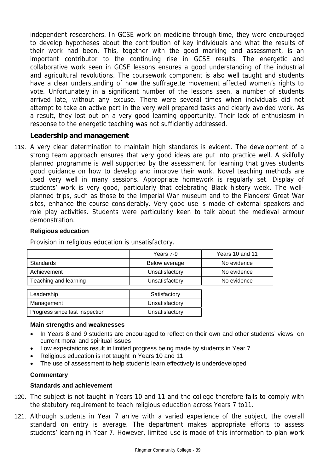independent researchers. In GCSE work on medicine through time, they were encouraged to develop hypotheses about the contribution of key individuals and what the results of their work had been. This, together with the good marking and assessment, is an important contributor to the continuing rise in GCSE results. The energetic and collaborative work seen in GCSE lessons ensures a good understanding of the industrial and agricultural revolutions. The coursework component is also well taught and students have a clear understanding of how the suffragette movement affected women's rights to vote. Unfortunately in a significant number of the lessons seen, a number of students arrived late, without any excuse. There were several times when individuals did not attempt to take an active part in the very well prepared tasks and clearly avoided work. As a result, they lost out on a very good learning opportunity. Their lack of enthusiasm in response to the energetic teaching was not sufficiently addressed.

# **Leadership and management**

119. A very clear determination to maintain high standards is evident. The development of a strong team approach ensures that very good ideas are put into practice well. A skilfully planned programme is well supported by the assessment for learning that gives students good guidance on how to develop and improve their work. Novel teaching methods are used very well in many sessions. Appropriate homework is regularly set. Display of students' work is very good, particularly that celebrating Black history week. The wellplanned trips, such as those to the Imperial War museum and to the Flanders' Great War sites, enhance the course considerably. Very good use is made of external speakers and role play activities. Students were particularly keen to talk about the medieval armour demonstration.

## **Religious education**

Provision in religious education is unsatisfactory.

|                                | Years 7-9      | Years 10 and 11 |
|--------------------------------|----------------|-----------------|
| <b>Standards</b>               | Below average  | No evidence     |
| Achievement                    | Unsatisfactory | No evidence     |
| Teaching and learning          | Unsatisfactory | No evidence     |
| Leadership                     | Satisfactory   |                 |
| Management                     | Unsatisfactory |                 |
| Progress since last inspection | Unsatisfactory |                 |

#### **Main strengths and weaknesses**

- In Years 8 and 9 students are encouraged to reflect on their own and other students' views on current moral and spiritual issues
- Low expectations result in limited progress being made by students in Year 7
- Religious education is not taught in Years 10 and 11
- The use of assessment to help students learn effectively is underdeveloped

#### **Commentary**

#### **Standards and achievement**

- 120. The subject is not taught in Years 10 and 11 and the college therefore fails to comply with the statutory requirement to teach religious education across Years 7 to11.
- 121. Although students in Year 7 arrive with a varied experience of the subject, the overall standard on entry is average. The department makes appropriate efforts to assess students' learning in Year 7. However, limited use is made of this information to plan work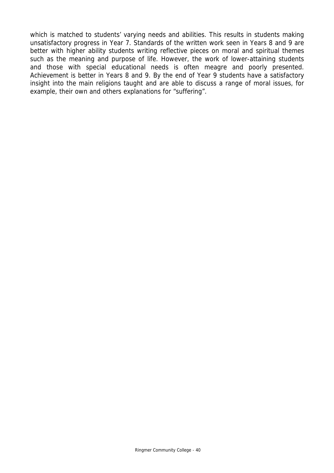which is matched to students' varying needs and abilities. This results in students making unsatisfactory progress in Year 7. Standards of the written work seen in Years 8 and 9 are better with higher ability students writing reflective pieces on moral and spiritual themes such as the meaning and purpose of life. However, the work of lower-attaining students and those with special educational needs is often meagre and poorly presented. Achievement is better in Years 8 and 9. By the end of Year 9 students have a satisfactory insight into the main religions taught and are able to discuss a range of moral issues, for example, their own and others explanations for "suffering".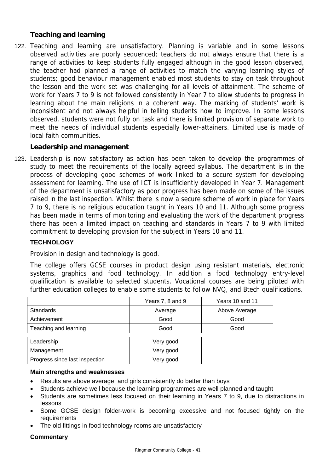# **Teaching and learning**

122. Teaching and learning are unsatisfactory. Planning is variable and in some lessons observed activities are poorly sequenced; teachers do not always ensure that there is a range of activities to keep students fully engaged although in the good lesson observed, the teacher had planned a range of activities to match the varying learning styles of students; good behaviour management enabled most students to stay on task throughout the lesson and the work set was challenging for all levels of attainment. The scheme of work for Years 7 to 9 is not followed consistently in Year 7 to allow students to progress in learning about the main religions in a coherent way. The marking of students' work is inconsistent and not always helpful in telling students how to improve. In some lessons observed, students were not fully on task and there is limited provision of separate work to meet the needs of individual students especially lower-attainers. Limited use is made of local faith communities.

# **Leadership and management**

123. Leadership is now satisfactory as action has been taken to develop the programmes of study to meet the requirements of the locally agreed syllabus. The department is in the process of developing good schemes of work linked to a secure system for developing assessment for learning. The use of ICT is insufficiently developed in Year 7. Management of the department is unsatisfactory as poor progress has been made on some of the issues raised in the last inspection. Whilst there is now a secure scheme of work in place for Years 7 to 9, there is no religious education taught in Years 10 and 11. Although some progress has been made in terms of monitoring and evaluating the work of the department progress there has been a limited impact on teaching and standards in Years 7 to 9 with limited commitment to developing provision for the subject in Years 10 and 11.

# **TECHNOLOGY**

Provision in design and technology is good.

The college offers GCSE courses in product design using resistant materials, electronic systems, graphics and food technology. In addition a food technology entry-level qualification is available to selected students. Vocational courses are being piloted with further education colleges to enable some students to follow NVQ, and Btech qualifications.

|                                | Years 7, 8 and 9 | Years 10 and 11 |
|--------------------------------|------------------|-----------------|
| <b>Standards</b>               | Average          | Above Average   |
| Achievement                    | Good             | Good            |
| Teaching and learning          | Good             | Good            |
| Leadership                     | Very good        |                 |
| Management                     | Very good        |                 |
| Progress since last inspection | Very good        |                 |

#### **Main strengths and weaknesses**

- Results are above average, and girls consistently do better than boys
- Students achieve well because the learning programmes are well planned and taught
- Students are sometimes less focused on their learning in Years 7 to 9, due to distractions in lessons
- Some GCSE design folder-work is becoming excessive and not focused tightly on the requirements
- The old fittings in food technology rooms are unsatisfactory

# **Commentary**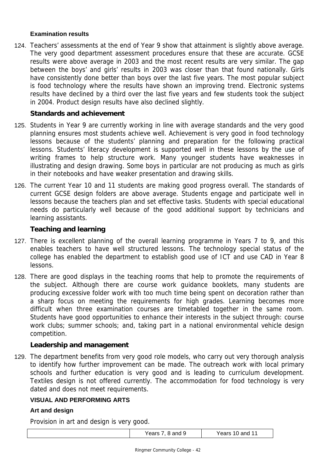## **Examination results**

124. Teachers' assessments at the end of Year 9 show that attainment is slightly above average. The very good department assessment procedures ensure that these are accurate. GCSE results were above average in 2003 and the most recent results are very similar. The gap between the boys' and girls' results in 2003 was closer than that found nationally. Girls have consistently done better than boys over the last five years. The most popular subject is food technology where the results have shown an improving trend. Electronic systems results have declined by a third over the last five years and few students took the subject in 2004. Product design results have also declined slightly.

## **Standards and achievement**

- 125. Students in Year 9 are currently working in line with average standards and the very good planning ensures most students achieve well. Achievement is very good in food technology lessons because of the students' planning and preparation for the following practical lessons. Students' literacy development is supported well in these lessons by the use of writing frames to help structure work. Many younger students have weaknesses in illustrating and design drawing. Some boys in particular are not producing as much as girls in their notebooks and have weaker presentation and drawing skills.
- 126. The current Year 10 and 11 students are making good progress overall. The standards of current GCSE design folders are above average. Students engage and participate well in lessons because the teachers plan and set effective tasks. Students with special educational needs do particularly well because of the good additional support by technicians and learning assistants.

## **Teaching and learning**

- 127. There is excellent planning of the overall learning programme in Years 7 to 9, and this enables teachers to have well structured lessons. The technology special status of the college has enabled the department to establish good use of ICT and use CAD in Year 8 lessons.
- 128. There are good displays in the teaching rooms that help to promote the requirements of the subject. Although there are course work guidance booklets, many students are producing excessive folder work with too much time being spent on decoration rather than a sharp focus on meeting the requirements for high grades. Learning becomes more difficult when three examination courses are timetabled together in the same room. Students have good opportunities to enhance their interests in the subject through: course work clubs; summer schools; and, taking part in a national environmental vehicle design competition.

#### **Leadership and management**

129. The department benefits from very good role models, who carry out very thorough analysis to identify how further improvement can be made. The outreach work with local primary schools and further education is very good and is leading to curriculum development. Textiles design is not offered currently. The accommodation for food technology is very dated and does not meet requirements.

#### **VISUAL AND PERFORMING ARTS**

#### **Art and design**

Provision in art and design is very good.

| and 9 | and 11 |
|-------|--------|
| Years | ∨ears  |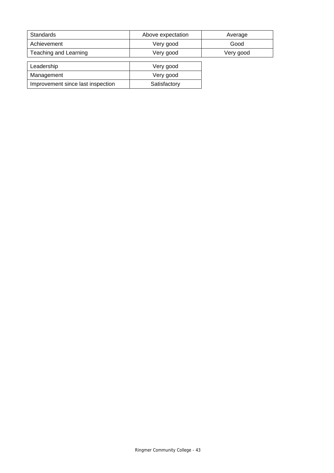| <b>Standards</b>                  | Above expectation | Average   |
|-----------------------------------|-------------------|-----------|
| Achievement                       | Very good         | Good      |
| Teaching and Learning             | Very good         | Very good |
|                                   |                   |           |
| Leadership                        | Very good         |           |
| Management                        | Very good         |           |
| Improvement since last inspection | Satisfactory      |           |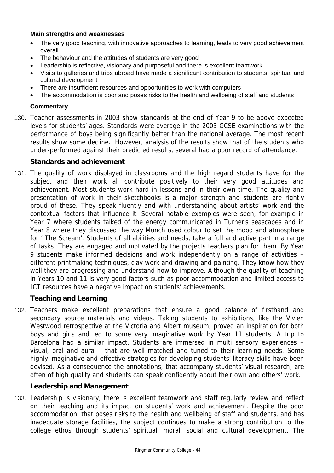## **Main strengths and weaknesses**

- The very good teaching, with innovative approaches to learning, leads to very good achievement overall
- The behaviour and the attitudes of students are very good
- Leadership is reflective, visionary and purposeful and there is excellent teamwork
- Visits to galleries and trips abroad have made a significant contribution to students' spiritual and cultural development
- There are insufficient resources and opportunities to work with computers
- The accommodation is poor and poses risks to the health and wellbeing of staff and students

## **Commentary**

130. Teacher assessments in 2003 show standards at the end of Year 9 to be above expected levels for students' ages. Standards were average in the 2003 GCSE examinations with the performance of boys being significantly better than the national average. The most recent results show some decline. However, analysis of the results show that of the students who under-performed against their predicted results, several had a poor record of attendance.

# **Standards and achievement**

131. The quality of work displayed in classrooms and the high regard students have for the subject and their work all contribute positively to their very good attitudes and achievement. Most students work hard in lessons and in their own time. The quality and presentation of work in their sketchbooks is a major strength and students are rightly proud of these. They speak fluently and with understanding about artists' work and the contextual factors that influence it. Several notable examples were seen, for example in Year 7 where students talked of the energy communicated in Turner's seascapes and in Year 8 where they discussed the way Munch used colour to set the mood and atmosphere for ' The Scream'. Students of all abilities and needs, take a full and active part in a range of tasks. They are engaged and motivated by the projects teachers plan for them. By Year 9 students make informed decisions and work independently on a range of activities – different printmaking techniques, clay work and drawing and painting. They know how they well they are progressing and understand how to improve. Although the quality of teaching in Years 10 and 11 is very good factors such as poor accommodation and limited access to ICT resources have a negative impact on students' achievements.

# **Teaching and Learning**

132. Teachers make excellent preparations that ensure a good balance of firsthand and secondary source materials and videos. Taking students to exhibitions, like the Vivien Westwood retrospective at the Victoria and Albert museum, proved an inspiration for both boys and girls and led to some very imaginative work by Year 11 students. A trip to Barcelona had a similar impact. Students are immersed in multi sensory experiences – visual, oral and aural - that are well matched and tuned to their learning needs. Some highly imaginative and effective strategies for developing students' literacy skills have been devised. As a consequence the annotations, that accompany students' visual research, are often of high quality and students can speak confidently about their own and others' work.

# **Leadership and Management**

133. Leadership is visionary, there is excellent teamwork and staff regularly review and reflect on their teaching and its impact on students' work and achievement. Despite the poor accommodation, that poses risks to the health and wellbeing of staff and students, and has inadequate storage facilities, the subject continues to make a strong contribution to the college ethos through students' spiritual, moral, social and cultural development. The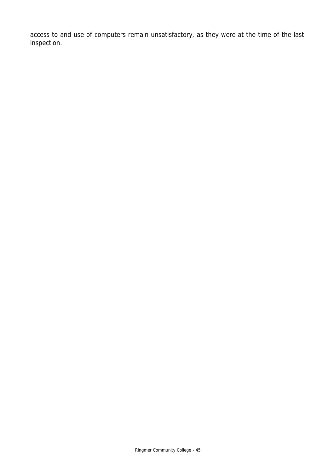access to and use of computers remain unsatisfactory, as they were at the time of the last inspection.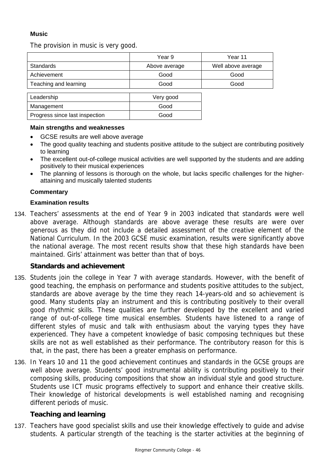# **Music**

The provision in music is very good.

|                       | Year 9        | Year 11            |
|-----------------------|---------------|--------------------|
| Standards             | Above average | Well above average |
| Achievement           | Good          | Good               |
| Teaching and learning | Good          | Good               |
|                       |               |                    |

| Leadership                     | Very good |
|--------------------------------|-----------|
| Management                     | Good      |
| Progress since last inspection | Good      |

#### **Main strengths and weaknesses**

- GCSE results are well above average
- The good quality teaching and students positive attitude to the subject are contributing positively to learning
- The excellent out-of-college musical activities are well supported by the students and are adding positively to their musical experiences
- The planning of lessons is thorough on the whole, but lacks specific challenges for the higherattaining and musically talented students

## **Commentary**

## **Examination results**

134. Teachers' assessments at the end of Year 9 in 2003 indicated that standards were well above average. Although standards are above average these results are were over generous as they did not include a detailed assessment of the creative element of the National Curriculum. In the 2003 GCSE music examination, results were significantly above the national average. The most recent results show that these high standards have been maintained. Girls' attainment was better than that of boys.

# **Standards and achievement**

- 135. Students join the college in Year 7 with average standards. However, with the benefit of good teaching, the emphasis on performance and students positive attitudes to the subject, standards are above average by the time they reach 14-years-old and so achievement is good. Many students play an instrument and this is contributing positively to their overall good rhythmic skills. These qualities are further developed by the excellent and varied range of out-of-college time musical ensembles. Students have listened to a range of different styles of music and talk with enthusiasm about the varying types they have experienced. They have a competent knowledge of basic composing techniques but these skills are not as well established as their performance. The contributory reason for this is that, in the past, there has been a greater emphasis on performance.
- 136. In Years 10 and 11 the good achievement continues and standards in the GCSE groups are well above average. Students' good instrumental ability is contributing positively to their composing skills, producing compositions that show an individual style and good structure. Students use ICT music programs effectively to support and enhance their creative skills. Their knowledge of historical developments is well established naming and recognising different periods of music.

# **Teaching and learning**

137. Teachers have good specialist skills and use their knowledge effectively to guide and advise students. A particular strength of the teaching is the starter activities at the beginning of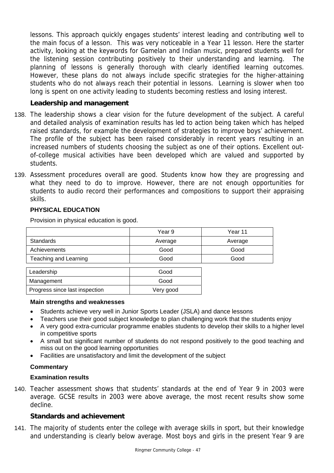lessons. This approach quickly engages students' interest leading and contributing well to the main focus of a lesson. This was very noticeable in a Year 11 lesson. Here the starter activity, looking at the keywords for Gamelan and Indian music, prepared students well for the listening session contributing positively to their understanding and learning. The planning of lessons is generally thorough with clearly identified learning outcomes. However, these plans do not always include specific strategies for the higher-attaining students who do not always reach their potential in lessons. Learning is slower when too long is spent on one activity leading to students becoming restless and losing interest.

# **Leadership and management**

- 138. The leadership shows a clear vision for the future development of the subject. A careful and detailed analysis of examination results has led to action being taken which has helped raised standards, for example the development of strategies to improve boys' achievement. The profile of the subject has been raised considerably in recent years resulting in an increased numbers of students choosing the subject as one of their options. Excellent outof-college musical activities have been developed which are valued and supported by students.
- 139. Assessment procedures overall are good. Students know how they are progressing and what they need to do to improve. However, there are not enough opportunities for students to audio record their performances and compositions to support their appraising skills.

# **PHYSICAL EDUCATION**

Provision in physical education is good.

|                              | Year 9  | Year 11 |
|------------------------------|---------|---------|
| <b>Standards</b>             | Average | Average |
| Achievements                 | Good    | Good    |
| <b>Teaching and Learning</b> | Good    | Good    |
|                              |         |         |
| Leadership                   | Good    |         |
| Management                   | Good    |         |
|                              |         |         |

#### **Main strengths and weaknesses**

Progress since last inspection and very good

- Students achieve very well in Junior Sports Leader (JSLA) and dance lessons
- Teachers use their good subject knowledge to plan challenging work that the students enjoy
- A very good extra-curricular programme enables students to develop their skills to a higher level in competitive sports
- A small but significant number of students do not respond positively to the good teaching and miss out on the good learning opportunities
- Facilities are unsatisfactory and limit the development of the subject

# **Commentary**

#### **Examination results**

140. Teacher assessment shows that students' standards at the end of Year 9 in 2003 were average. GCSE results in 2003 were above average, the most recent results show some decline.

# **Standards and achievement**

141. The majority of students enter the college with average skills in sport, but their knowledge and understanding is clearly below average. Most boys and girls in the present Year 9 are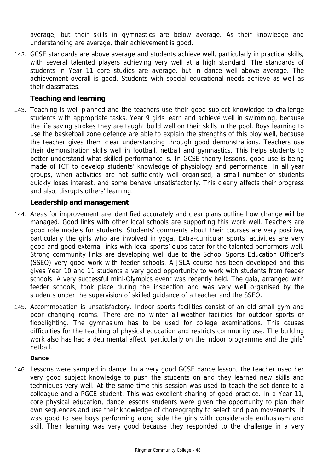average, but their skills in gymnastics are below average. As their knowledge and understanding are average, their achievement is good.

142. GCSE standards are above average and students achieve well, particularly in practical skills, with several talented players achieving very well at a high standard. The standards of students in Year 11 core studies are average, but in dance well above average. The achievement overall is good. Students with special educational needs achieve as well as their classmates.

# **Teaching and learning**

143. Teaching is well planned and the teachers use their good subject knowledge to challenge students with appropriate tasks. Year 9 girls learn and achieve well in swimming, because the life saving strokes they are taught build well on their skills in the pool. Boys learning to use the basketball zone defence are able to explain the strengths of this ploy well, because the teacher gives them clear understanding through good demonstrations. Teachers use their demonstration skills well in football, netball and gymnastics. This helps students to better understand what skilled performance is. In GCSE theory lessons, good use is being made of ICT to develop students' knowledge of physiology and performance. In all year groups, when activities are not sufficiently well organised, a small number of students quickly loses interest, and some behave unsatisfactorily. This clearly affects their progress and also, disrupts others' learning.

# **Leadership and management**

- 144. Areas for improvement are identified accurately and clear plans outline how change will be managed. Good links with other local schools are supporting this work well. Teachers are good role models for students. Students' comments about their courses are very positive, particularly the girls who are involved in yoga. Extra-curricular sports' activities are very good and good external links with local sports' clubs cater for the talented performers well. Strong community links are developing well due to the School Sports Education Officer's (SSEO) very good work with feeder schools. A JSLA course has been developed and this gives Year 10 and 11 students a very good opportunity to work with students from feeder schools. A very successful mini-Olympics event was recently held. The gala, arranged with feeder schools, took place during the inspection and was very well organised by the students under the supervision of skilled guidance of a teacher and the SSEO.
- 145. Accommodation is unsatisfactory. Indoor sports facilities consist of an old small gym and poor changing rooms. There are no winter all-weather facilities for outdoor sports or floodlighting. The gymnasium has to be used for college examinations. This causes difficulties for the teaching of physical education and restricts community use. The building work also has had a detrimental affect, particularly on the indoor programme and the girls' netball.

#### **Dance**

146. Lessons were sampled in dance. In a very good GCSE dance lesson, the teacher used her very good subject knowledge to push the students on and they learned new skills and techniques very well. At the same time this session was used to teach the set dance to a colleague and a PGCE student. This was excellent sharing of good practice. In a Year 11, core physical education, dance lessons students were given the opportunity to plan their own sequences and use their knowledge of choreography to select and plan movements. It was good to see boys performing along side the girls with considerable enthusiasm and skill. Their learning was very good because they responded to the challenge in a very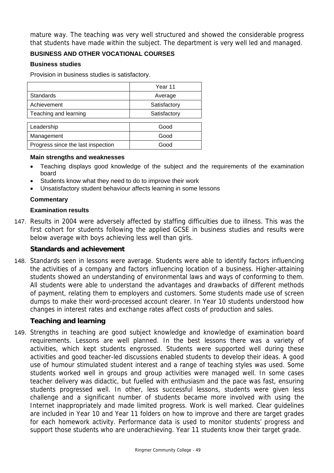mature way. The teaching was very well structured and showed the considerable progress that students have made within the subject. The department is very well led and managed.

# **BUSINESS AND OTHER VOCATIONAL COURSES**

## **Business studies**

Provision in business studies is satisfactory.

|                                    | Year 11      |
|------------------------------------|--------------|
| Standards                          | Average      |
| Achievement                        | Satisfactory |
| Teaching and learning              | Satisfactory |
|                                    |              |
| Leadership                         | Good         |
| Management                         | Good         |
| Progress since the last inspection | Good         |

## **Main strengths and weaknesses**

- Teaching displays good knowledge of the subject and the requirements of the examination board
- Students know what they need to do to improve their work
- Unsatisfactory student behaviour affects learning in some lessons

## **Commentary**

## **Examination results**

147. Results in 2004 were adversely affected by staffing difficulties due to illness. This was the first cohort for students following the applied GCSE in business studies and results were below average with boys achieving less well than girls.

# **Standards and achievement**

148. Standards seen in lessons were average. Students were able to identify factors influencing the activities of a company and factors influencing location of a business. Higher-attaining students showed an understanding of environmental laws and ways of conforming to them. All students were able to understand the advantages and drawbacks of different methods of payment, relating them to employers and customers. Some students made use of screen dumps to make their word-processed account clearer. In Year 10 students understood how changes in interest rates and exchange rates affect costs of production and sales.

# **Teaching and learning**

149. Strengths in teaching are good subject knowledge and knowledge of examination board requirements. Lessons are well planned. In the best lessons there was a variety of activities, which kept students engrossed. Students were supported well during these activities and good teacher-led discussions enabled students to develop their ideas. A good use of humour stimulated student interest and a range of teaching styles was used. Some students worked well in groups and group activities were managed well. In some cases teacher delivery was didactic, but fuelled with enthusiasm and the pace was fast, ensuring students progressed well. In other, less successful lessons, students were given less challenge and a significant number of students became more involved with using the Internet inappropriately and made limited progress. Work is well marked. Clear guidelines are included in Year 10 and Year 11 folders on how to improve and there are target grades for each homework activity. Performance data is used to monitor students' progress and support those students who are underachieving. Year 11 students know their target grade.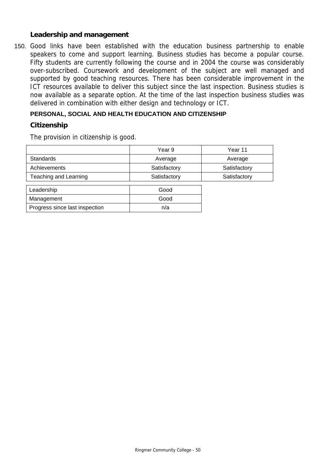## **Leadership and management**

150. Good links have been established with the education business partnership to enable speakers to come and support learning. Business studies has become a popular course. Fifty students are currently following the course and in 2004 the course was considerably over-subscribed. Coursework and development of the subject are well managed and supported by good teaching resources. There has been considerable improvement in the ICT resources available to deliver this subject since the last inspection. Business studies is now available as a separate option. At the time of the last inspection business studies was delivered in combination with either design and technology or ICT.

# **PERSONAL, SOCIAL AND HEALTH EDUCATION AND CITIZENSHIP**

## **Citizenship**

The provision in citizenship is good.

|                                | Year 9       | Year 11      |
|--------------------------------|--------------|--------------|
| <b>Standards</b>               | Average      | Average      |
| Achievements                   | Satisfactory | Satisfactory |
| Teaching and Learning          | Satisfactory | Satisfactory |
|                                |              |              |
| Leadership                     | Good         |              |
| Management                     | Good         |              |
| Progress since last inspection | n/a          |              |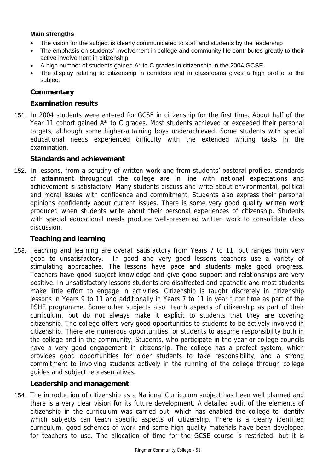# **Main strengths**

- The vision for the subject is clearly communicated to staff and students by the leadership
- The emphasis on students' involvement in college and community life contributes greatly to their active involvement in citizenship
- A high number of students gained A\* to C grades in citizenship in the 2004 GCSE
- The display relating to citizenship in corridors and in classrooms gives a high profile to the subject

# **Commentary**

## **Examination results**

151. In 2004 students were entered for GCSE in citizenship for the first time. About half of the Year 11 cohort gained A\* to C grades. Most students achieved or exceeded their personal targets, although some higher-attaining boys underachieved. Some students with special educational needs experienced difficulty with the extended writing tasks in the examination.

## **Standards and achievement**

152. In lessons, from a scrutiny of written work and from students' pastoral profiles, standards of attainment throughout the college are in line with national expectations and achievement is satisfactory. Many students discuss and write about environmental, political and moral issues with confidence and commitment. Students also express their personal opinions confidently about current issues. There is some very good quality written work produced when students write about their personal experiences of citizenship. Students with special educational needs produce well-presented written work to consolidate class discussion.

# **Teaching and learning**

153. Teaching and learning are overall satisfactory from Years 7 to 11, but ranges from very good to unsatisfactory. In good and very good lessons teachers use a variety of stimulating approaches. The lessons have pace and students make good progress. Teachers have good subject knowledge and give good support and relationships are very positive. In unsatisfactory lessons students are disaffected and apathetic and most students make little effort to engage in activities. Citizenship is taught discretely in citizenship lessons in Years 9 to 11 and additionally in Years 7 to 11 in year tutor time as part of the PSHE programme. Some other subjects also teach aspects of citizenship as part of their curriculum, but do not always make it explicit to students that they are covering citizenship. The college offers very good opportunities to students to be actively involved in citizenship. There are numerous opportunities for students to assume responsibility both in the college and in the community. Students, who participate in the year or college councils have a very good engagement in citizenship. The college has a prefect system, which provides good opportunities for older students to take responsibility, and a strong commitment to involving students actively in the running of the college through college guides and subject representatives.

# **Leadership and management**

154. The introduction of citizenship as a National Curriculum subject has been well planned and there is a very clear vision for its future development. A detailed audit of the elements of citizenship in the curriculum was carried out, which has enabled the college to identify which subjects can teach specific aspects of citizenship. There is a clearly identified curriculum, good schemes of work and some high quality materials have been developed for teachers to use. The allocation of time for the GCSE course is restricted, but it is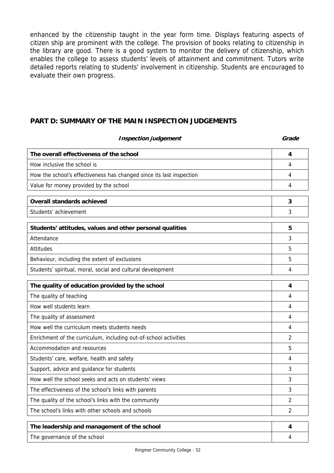enhanced by the citizenship taught in the year form time. Displays featuring aspects of citizen ship are prominent with the college. The provision of books relating to citizenship in the library are good. There is a good system to monitor the delivery of citizenship, which enables the college to assess students' levels of attainment and commitment. Tutors write detailed reports relating to students' involvement in citizenship. Students are encouraged to evaluate their own progress.

# **PART D: SUMMARY OF THE MAIN INSPECTION JUDGEMENTS**

| <b>Inspection judgement</b>                                          | Grade          |
|----------------------------------------------------------------------|----------------|
| The overall effectiveness of the school                              | 4              |
| How inclusive the school is                                          | 4              |
| How the school's effectiveness has changed since its last inspection | 4              |
| Value for money provided by the school                               | 4              |
| <b>Overall standards achieved</b>                                    | 3              |
| Students' achievement                                                | 3              |
| Students' attitudes, values and other personal qualities             | 5              |
| Attendance                                                           | 3              |
| Attitudes                                                            | 5              |
| Behaviour, including the extent of exclusions                        | 5              |
| Students' spiritual, moral, social and cultural development          | 4              |
| The quality of education provided by the school                      | 4              |
| The quality of teaching                                              | 4              |
| How well students learn                                              | 4              |
| The quality of assessment                                            | 4              |
| How well the curriculum meets students needs                         | 4              |
| Enrichment of the curriculum, including out-of-school activities     | 2              |
| Accommodation and resources                                          | 5              |
| Students' care, welfare, health and safety                           | 4              |
| Support, advice and guidance for students                            | 3              |
| How well the school seeks and acts on students' views                | 3              |
| The effectiveness of the school's links with parents                 | 3              |
| The quality of the school's links with the community                 | 2              |
| The school's links with other schools and schools                    | $\overline{2}$ |
| The leadership and management of the school                          | 4              |
| The governance of the school                                         | 4              |